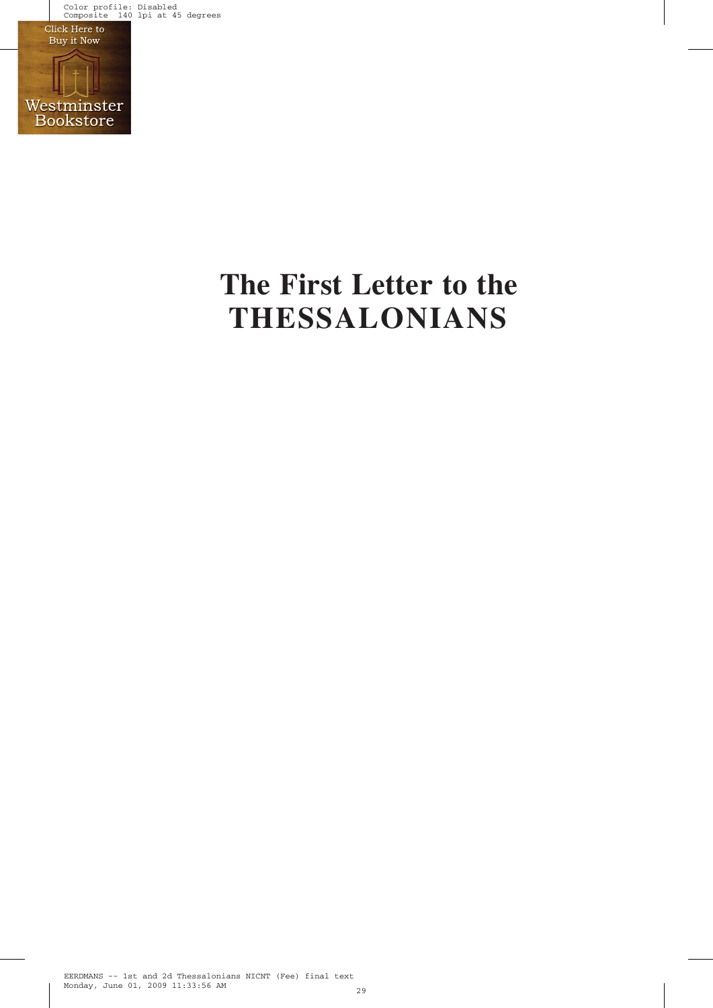Color profile: Disabled Composite 140 lpi at 45 degrees



# **The First Letter to the THESSALONIANS**

EERDMANS -- 1st and 2d Thessalonians NICNT (Fee) final text Monday, June 01, 2009 11:33:56 AM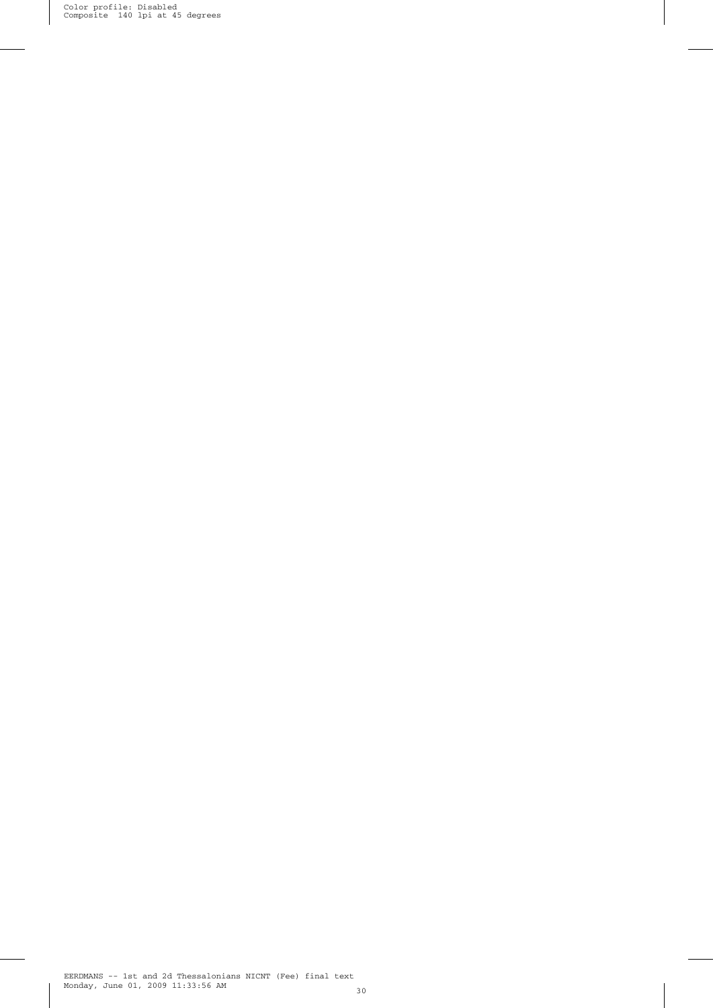Color profile: Disabled Composite 140 lpi at 45 degrees

I

 $\overline{\phantom{a}}$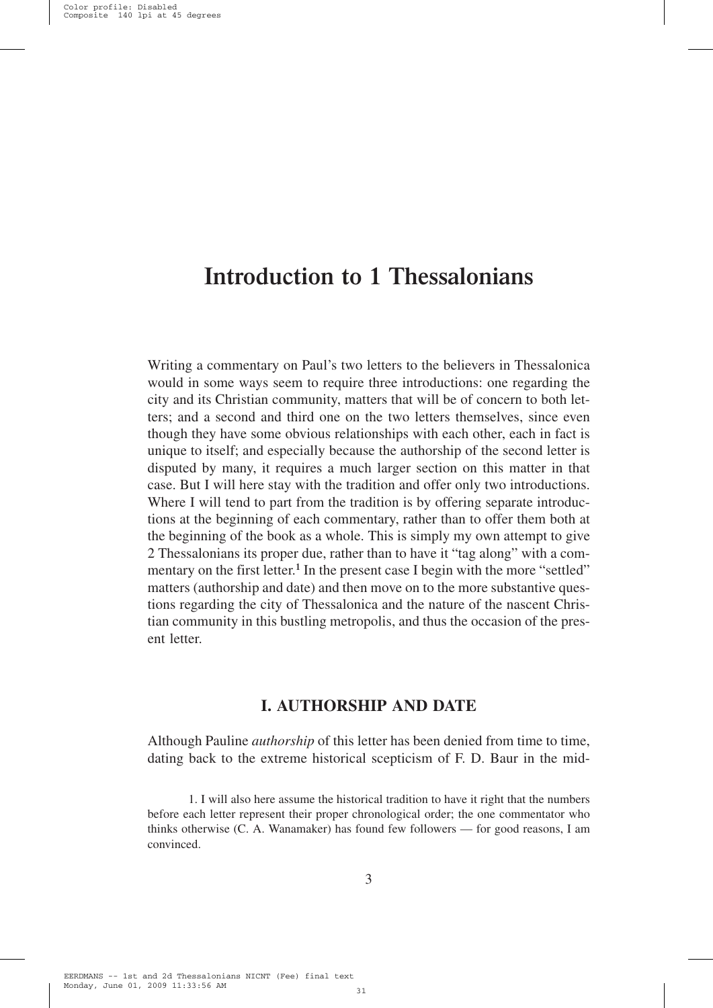# **Introduction to 1 Thessalonians**

Writing a commentary on Paul's two letters to the believers in Thessalonica would in some ways seem to require three introductions: one regarding the city and its Christian community, matters that will be of concern to both letters; and a second and third one on the two letters themselves, since even though they have some obvious relationships with each other, each in fact is unique to itself; and especially because the authorship of the second letter is disputed by many, it requires a much larger section on this matter in that case. But I will here stay with the tradition and offer only two introductions. Where I will tend to part from the tradition is by offering separate introductions at the beginning of each commentary, rather than to offer them both at the beginning of the book as a whole. This is simply my own attempt to give 2 Thessalonians its proper due, rather than to have it "tag along" with a commentary on the first letter.<sup>1</sup> In the present case I begin with the more "settled" matters (authorship and date) and then move on to the more substantive questions regarding the city of Thessalonica and the nature of the nascent Christian community in this bustling metropolis, and thus the occasion of the present letter.

# **I. AUTHORSHIP AND DATE**

Although Pauline *authorship* of this letter has been denied from time to time, dating back to the extreme historical scepticism of F. D. Baur in the mid-

1. I will also here assume the historical tradition to have it right that the numbers before each letter represent their proper chronological order; the one commentator who thinks otherwise (C. A. Wanamaker) has found few followers — for good reasons, I am convinced.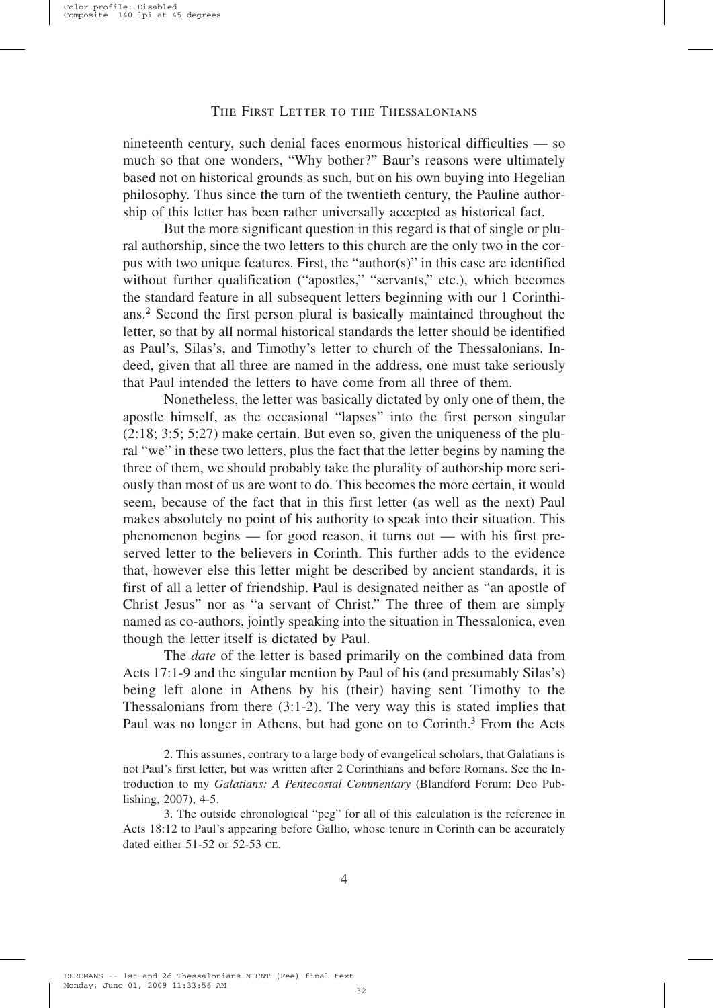nineteenth century, such denial faces enormous historical difficulties — so much so that one wonders, "Why bother?" Baur's reasons were ultimately based not on historical grounds as such, but on his own buying into Hegelian philosophy. Thus since the turn of the twentieth century, the Pauline authorship of this letter has been rather universally accepted as historical fact.

But the more significant question in this regard is that of single or plural authorship, since the two letters to this church are the only two in the corpus with two unique features. First, the "author(s)" in this case are identified without further qualification ("apostles," "servants," etc.), which becomes the standard feature in all subsequent letters beginning with our 1 Corinthians.2 Second the first person plural is basically maintained throughout the letter, so that by all normal historical standards the letter should be identified as Paul's, Silas's, and Timothy's letter to church of the Thessalonians. Indeed, given that all three are named in the address, one must take seriously that Paul intended the letters to have come from all three of them.

Nonetheless, the letter was basically dictated by only one of them, the apostle himself, as the occasional "lapses" into the first person singular (2:18; 3:5; 5:27) make certain. But even so, given the uniqueness of the plural "we" in these two letters, plus the fact that the letter begins by naming the three of them, we should probably take the plurality of authorship more seriously than most of us are wont to do. This becomes the more certain, it would seem, because of the fact that in this first letter (as well as the next) Paul makes absolutely no point of his authority to speak into their situation. This phenomenon begins — for good reason, it turns out — with his first preserved letter to the believers in Corinth. This further adds to the evidence that, however else this letter might be described by ancient standards, it is first of all a letter of friendship. Paul is designated neither as "an apostle of Christ Jesus" nor as "a servant of Christ." The three of them are simply named as co-authors, jointly speaking into the situation in Thessalonica, even though the letter itself is dictated by Paul.

The *date* of the letter is based primarily on the combined data from Acts 17:1-9 and the singular mention by Paul of his (and presumably Silas's) being left alone in Athens by his (their) having sent Timothy to the Thessalonians from there (3:1-2). The very way this is stated implies that Paul was no longer in Athens, but had gone on to Corinth.<sup>3</sup> From the Acts

<sup>2.</sup> This assumes, contrary to a large body of evangelical scholars, that Galatians is not Paul's first letter, but was written after 2 Corinthians and before Romans. See the Introduction to my *Galatians: A Pentecostal Commentary* (Blandford Forum: Deo Publishing, 2007), 4-5.

<sup>3.</sup> The outside chronological "peg" for all of this calculation is the reference in Acts 18:12 to Paul's appearing before Gallio, whose tenure in Corinth can be accurately dated either 51-52 or 52-53 ce.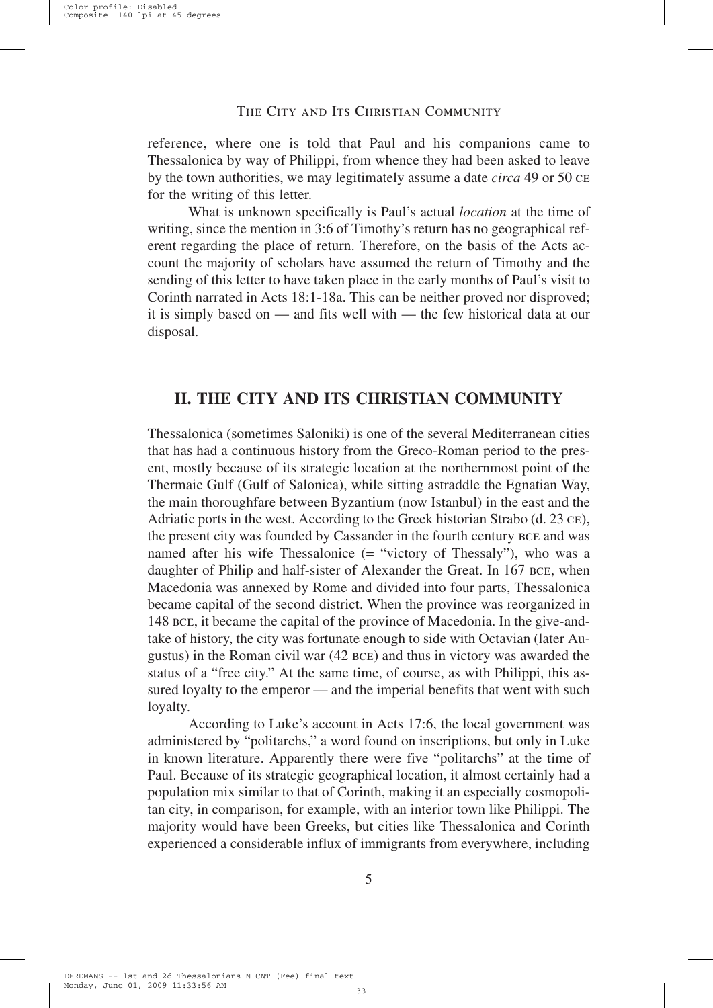#### THE CITY AND ITS CHRISTIAN COMMUNITY

reference, where one is told that Paul and his companions came to Thessalonica by way of Philippi, from whence they had been asked to leave by the town authorities, we may legitimately assume a date *circa* 49 or 50 ce for the writing of this letter.

What is unknown specifically is Paul's actual *location* at the time of writing, since the mention in 3:6 of Timothy's return has no geographical referent regarding the place of return. Therefore, on the basis of the Acts account the majority of scholars have assumed the return of Timothy and the sending of this letter to have taken place in the early months of Paul's visit to Corinth narrated in Acts 18:1-18a. This can be neither proved nor disproved; it is simply based on — and fits well with — the few historical data at our disposal.

## **II. THE CITY AND ITS CHRISTIAN COMMUNITY**

Thessalonica (sometimes Saloniki) is one of the several Mediterranean cities that has had a continuous history from the Greco-Roman period to the present, mostly because of its strategic location at the northernmost point of the Thermaic Gulf (Gulf of Salonica), while sitting astraddle the Egnatian Way, the main thoroughfare between Byzantium (now Istanbul) in the east and the Adriatic ports in the west. According to the Greek historian Strabo (d. 23 ce), the present city was founded by Cassander in the fourth century bce and was named after his wife Thessalonice (= "victory of Thessaly"), who was a daughter of Philip and half-sister of Alexander the Great. In 167 BCE, when Macedonia was annexed by Rome and divided into four parts, Thessalonica became capital of the second district. When the province was reorganized in 148 bce, it became the capital of the province of Macedonia. In the give-andtake of history, the city was fortunate enough to side with Octavian (later Augustus) in the Roman civil war (42 bce) and thus in victory was awarded the status of a "free city." At the same time, of course, as with Philippi, this assured loyalty to the emperor — and the imperial benefits that went with such loyalty.

According to Luke's account in Acts 17:6, the local government was administered by "politarchs," a word found on inscriptions, but only in Luke in known literature. Apparently there were five "politarchs" at the time of Paul. Because of its strategic geographical location, it almost certainly had a population mix similar to that of Corinth, making it an especially cosmopolitan city, in comparison, for example, with an interior town like Philippi. The majority would have been Greeks, but cities like Thessalonica and Corinth experienced a considerable influx of immigrants from everywhere, including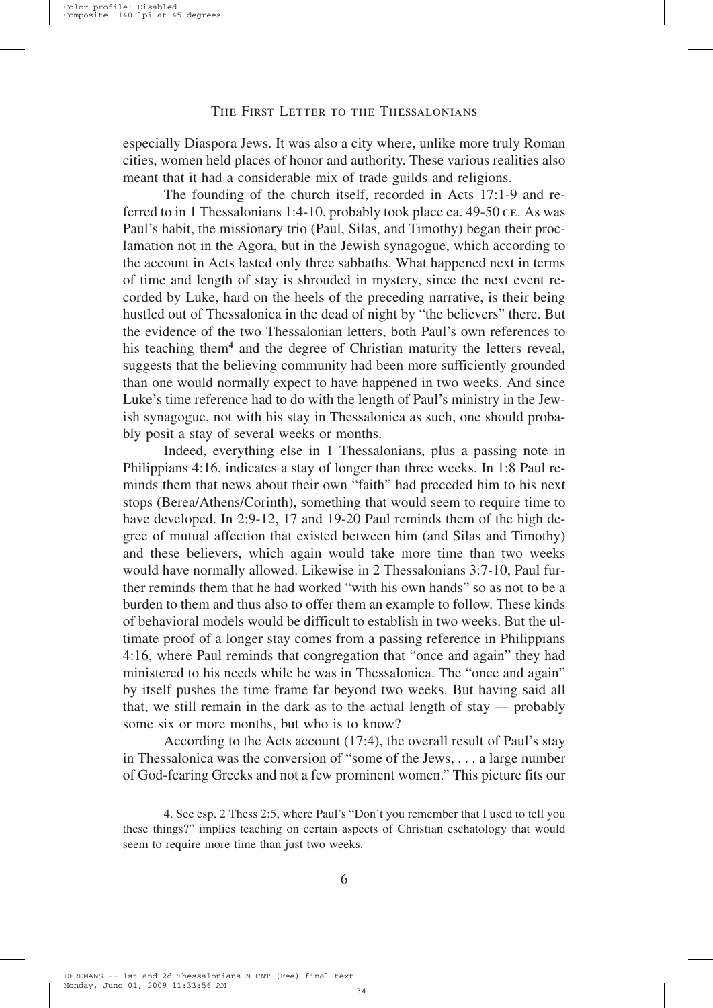especially Diaspora Jews. It was also a city where, unlike more truly Roman cities, women held places of honor and authority. These various realities also meant that it had a considerable mix of trade guilds and religions.

The founding of the church itself, recorded in Acts 17:1-9 and referred to in 1 Thessalonians 1:4-10, probably took place ca. 49-50 ce. As was Paul's habit, the missionary trio (Paul, Silas, and Timothy) began their proclamation not in the Agora, but in the Jewish synagogue, which according to the account in Acts lasted only three sabbaths. What happened next in terms of time and length of stay is shrouded in mystery, since the next event recorded by Luke, hard on the heels of the preceding narrative, is their being hustled out of Thessalonica in the dead of night by "the believers" there. But the evidence of the two Thessalonian letters, both Paul's own references to his teaching them<sup>4</sup> and the degree of Christian maturity the letters reveal, suggests that the believing community had been more sufficiently grounded than one would normally expect to have happened in two weeks. And since Luke's time reference had to do with the length of Paul's ministry in the Jewish synagogue, not with his stay in Thessalonica as such, one should probably posit a stay of several weeks or months.

Indeed, everything else in 1 Thessalonians, plus a passing note in Philippians 4:16, indicates a stay of longer than three weeks. In 1:8 Paul reminds them that news about their own "faith" had preceded him to his next stops (Berea/Athens/Corinth), something that would seem to require time to have developed. In 2:9-12, 17 and 19-20 Paul reminds them of the high degree of mutual affection that existed between him (and Silas and Timothy) and these believers, which again would take more time than two weeks would have normally allowed. Likewise in 2 Thessalonians 3:7-10, Paul further reminds them that he had worked "with his own hands" so as not to be a burden to them and thus also to offer them an example to follow. These kinds of behavioral models would be difficult to establish in two weeks. But the ultimate proof of a longer stay comes from a passing reference in Philippians 4:16, where Paul reminds that congregation that "once and again" they had ministered to his needs while he was in Thessalonica. The "once and again" by itself pushes the time frame far beyond two weeks. But having said all that, we still remain in the dark as to the actual length of stay — probably some six or more months, but who is to know?

According to the Acts account (17:4), the overall result of Paul's stay in Thessalonica was the conversion of "some of the Jews, . . . a large number of God-fearing Greeks and not a few prominent women." This picture fits our

<sup>4.</sup> See esp. 2 Thess 2:5, where Paul's "Don't you remember that I used to tell you these things?" implies teaching on certain aspects of Christian eschatology that would seem to require more time than just two weeks.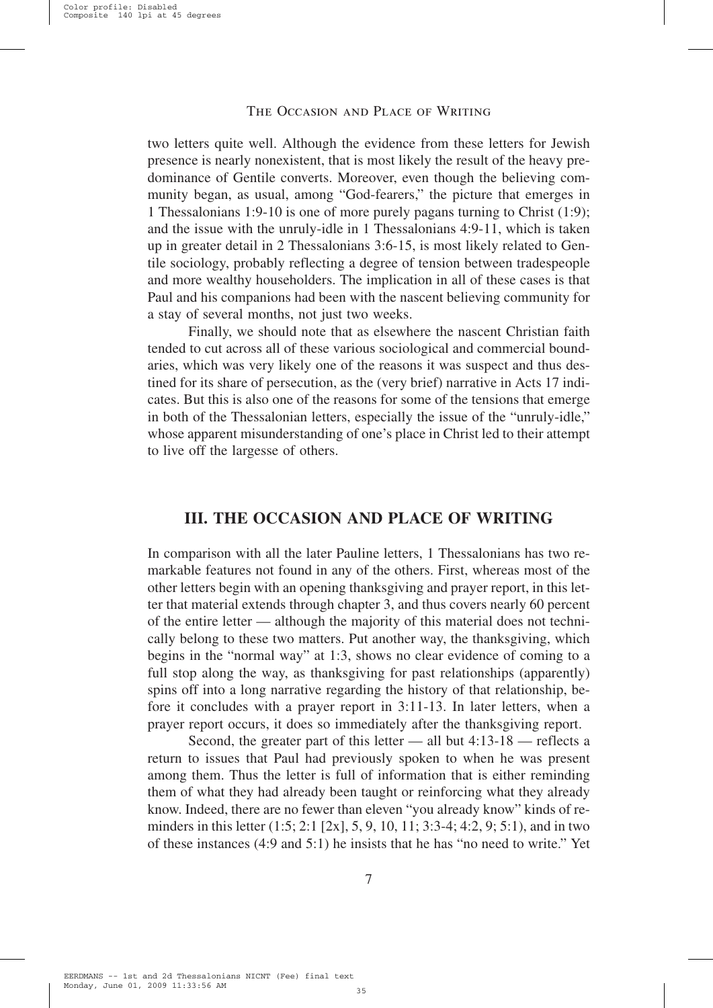#### The Occasion and Place of Writing

two letters quite well. Although the evidence from these letters for Jewish presence is nearly nonexistent, that is most likely the result of the heavy predominance of Gentile converts. Moreover, even though the believing community began, as usual, among "God-fearers," the picture that emerges in 1 Thessalonians 1:9-10 is one of more purely pagans turning to Christ (1:9); and the issue with the unruly-idle in 1 Thessalonians 4:9-11, which is taken up in greater detail in 2 Thessalonians 3:6-15, is most likely related to Gentile sociology, probably reflecting a degree of tension between tradespeople and more wealthy householders. The implication in all of these cases is that Paul and his companions had been with the nascent believing community for a stay of several months, not just two weeks.

Finally, we should note that as elsewhere the nascent Christian faith tended to cut across all of these various sociological and commercial boundaries, which was very likely one of the reasons it was suspect and thus destined for its share of persecution, as the (very brief) narrative in Acts 17 indicates. But this is also one of the reasons for some of the tensions that emerge in both of the Thessalonian letters, especially the issue of the "unruly-idle," whose apparent misunderstanding of one's place in Christ led to their attempt to live off the largesse of others.

#### **III. THE OCCASION AND PLACE OF WRITING**

In comparison with all the later Pauline letters, 1 Thessalonians has two remarkable features not found in any of the others. First, whereas most of the other letters begin with an opening thanksgiving and prayer report, in this letter that material extends through chapter 3, and thus covers nearly 60 percent of the entire letter — although the majority of this material does not technically belong to these two matters. Put another way, the thanksgiving, which begins in the "normal way" at 1:3, shows no clear evidence of coming to a full stop along the way, as thanksgiving for past relationships (apparently) spins off into a long narrative regarding the history of that relationship, before it concludes with a prayer report in 3:11-13. In later letters, when a prayer report occurs, it does so immediately after the thanksgiving report.

Second, the greater part of this letter — all but 4:13-18 — reflects a return to issues that Paul had previously spoken to when he was present among them. Thus the letter is full of information that is either reminding them of what they had already been taught or reinforcing what they already know. Indeed, there are no fewer than eleven "you already know" kinds of reminders in this letter (1:5; 2:1 [2x], 5, 9, 10, 11; 3:3-4; 4:2, 9; 5:1), and in two of these instances (4:9 and 5:1) he insists that he has "no need to write." Yet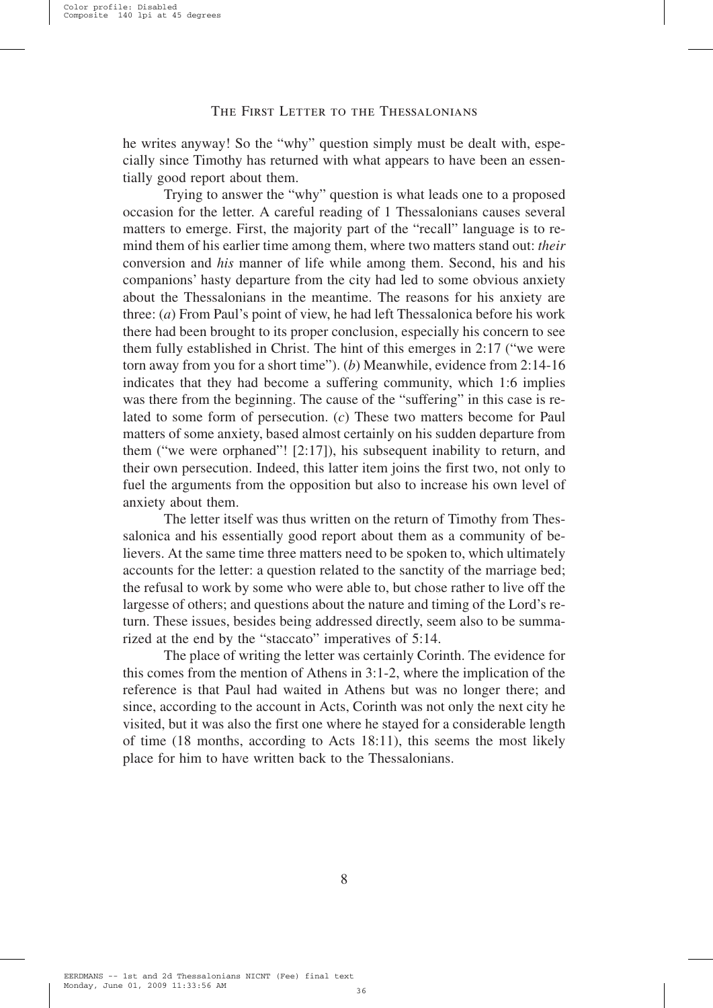he writes anyway! So the "why" question simply must be dealt with, especially since Timothy has returned with what appears to have been an essentially good report about them.

Trying to answer the "why" question is what leads one to a proposed occasion for the letter. A careful reading of 1 Thessalonians causes several matters to emerge. First, the majority part of the "recall" language is to remind them of his earlier time among them, where two matters stand out: *their* conversion and *his* manner of life while among them. Second, his and his companions' hasty departure from the city had led to some obvious anxiety about the Thessalonians in the meantime. The reasons for his anxiety are three: (*a*) From Paul's point of view, he had left Thessalonica before his work there had been brought to its proper conclusion, especially his concern to see them fully established in Christ. The hint of this emerges in 2:17 ("we were torn away from you for a short time"). (*b*) Meanwhile, evidence from 2:14-16 indicates that they had become a suffering community, which 1:6 implies was there from the beginning. The cause of the "suffering" in this case is related to some form of persecution. (*c*) These two matters become for Paul matters of some anxiety, based almost certainly on his sudden departure from them ("we were orphaned"! [2:17]), his subsequent inability to return, and their own persecution. Indeed, this latter item joins the first two, not only to fuel the arguments from the opposition but also to increase his own level of anxiety about them.

The letter itself was thus written on the return of Timothy from Thessalonica and his essentially good report about them as a community of believers. At the same time three matters need to be spoken to, which ultimately accounts for the letter: a question related to the sanctity of the marriage bed; the refusal to work by some who were able to, but chose rather to live off the largesse of others; and questions about the nature and timing of the Lord's return. These issues, besides being addressed directly, seem also to be summarized at the end by the "staccato" imperatives of 5:14.

The place of writing the letter was certainly Corinth. The evidence for this comes from the mention of Athens in 3:1-2, where the implication of the reference is that Paul had waited in Athens but was no longer there; and since, according to the account in Acts, Corinth was not only the next city he visited, but it was also the first one where he stayed for a considerable length of time (18 months, according to Acts 18:11), this seems the most likely place for him to have written back to the Thessalonians.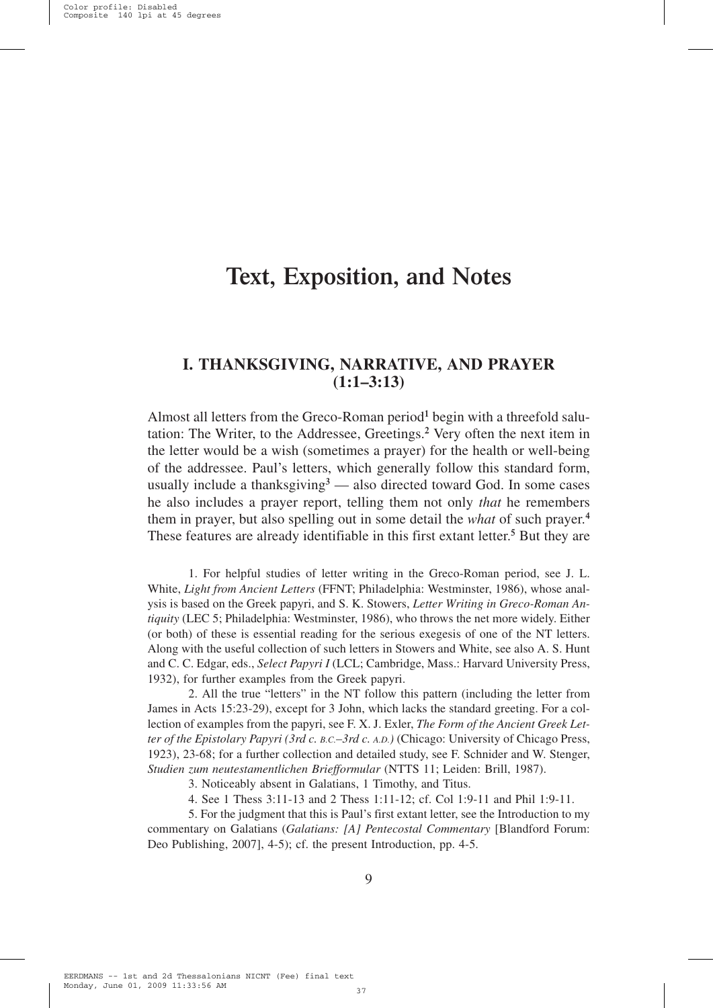# **Text, Exposition, and Notes**

### **I. THANKSGIVING, NARRATIVE, AND PRAYER (1:1–3:13)**

Almost all letters from the Greco-Roman period<sup>1</sup> begin with a threefold salutation: The Writer, to the Addressee, Greetings.2 Very often the next item in the letter would be a wish (sometimes a prayer) for the health or well-being of the addressee. Paul's letters, which generally follow this standard form, usually include a thanksgiving  $\alpha^3$  — also directed toward God. In some cases he also includes a prayer report, telling them not only *that* he remembers them in prayer, but also spelling out in some detail the *what* of such prayer.4 These features are already identifiable in this first extant letter.<sup>5</sup> But they are

1. For helpful studies of letter writing in the Greco-Roman period, see J. L. White, *Light from Ancient Letters* (FFNT; Philadelphia: Westminster, 1986), whose analysis is based on the Greek papyri, and S. K. Stowers, *Letter Writing in Greco-Roman Antiquity* (LEC 5; Philadelphia: Westminster, 1986), who throws the net more widely. Either (or both) of these is essential reading for the serious exegesis of one of the NT letters. Along with the useful collection of such letters in Stowers and White, see also A. S. Hunt and C. C. Edgar, eds., *Select Papyri I* (LCL; Cambridge, Mass.: Harvard University Press, 1932), for further examples from the Greek papyri.

2. All the true "letters" in the NT follow this pattern (including the letter from James in Acts 15:23-29), except for 3 John, which lacks the standard greeting. For a collection of examples from the papyri, see F. X. J. Exler, *The Form of the Ancient Greek Letter of the Epistolary Papyri (3rd c. B.C.*–*3rd c. A.D.)* (Chicago: University of Chicago Press, 1923), 23-68; for a further collection and detailed study, see F. Schnider and W. Stenger, *Studien zum neutestamentlichen Briefformular* (NTTS 11; Leiden: Brill, 1987).

3. Noticeably absent in Galatians, 1 Timothy, and Titus.

4. See 1 Thess 3:11-13 and 2 Thess 1:11-12; cf. Col 1:9-11 and Phil 1:9-11.

5. For the judgment that this is Paul's first extant letter, see the Introduction to my commentary on Galatians (*Galatians: [A] Pentecostal Commentary* [Blandford Forum: Deo Publishing, 2007], 4-5); cf. the present Introduction, pp. 4-5.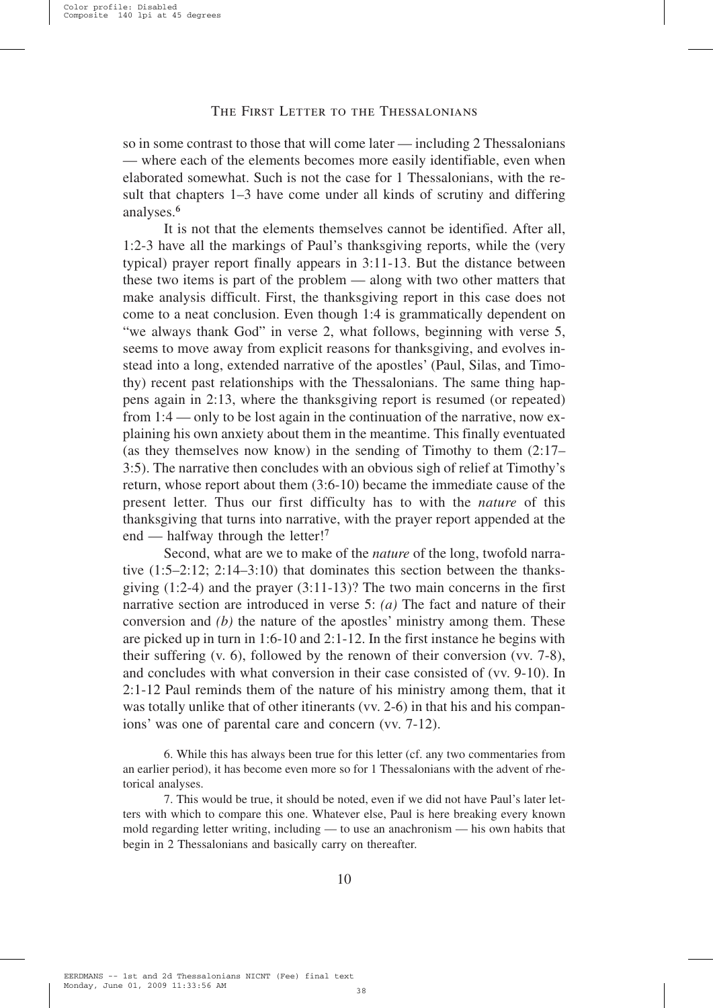so in some contrast to those that will come later — including 2 Thessalonians — where each of the elements becomes more easily identifiable, even when elaborated somewhat. Such is not the case for 1 Thessalonians, with the result that chapters 1–3 have come under all kinds of scrutiny and differing analyses.6

It is not that the elements themselves cannot be identified. After all, 1:2-3 have all the markings of Paul's thanksgiving reports, while the (very typical) prayer report finally appears in 3:11-13. But the distance between these two items is part of the problem — along with two other matters that make analysis difficult. First, the thanksgiving report in this case does not come to a neat conclusion. Even though 1:4 is grammatically dependent on "we always thank God" in verse 2, what follows, beginning with verse 5, seems to move away from explicit reasons for thanksgiving, and evolves instead into a long, extended narrative of the apostles' (Paul, Silas, and Timothy) recent past relationships with the Thessalonians. The same thing happens again in 2:13, where the thanksgiving report is resumed (or repeated) from 1:4 — only to be lost again in the continuation of the narrative, now explaining his own anxiety about them in the meantime. This finally eventuated (as they themselves now know) in the sending of Timothy to them (2:17– 3:5). The narrative then concludes with an obvious sigh of relief at Timothy's return, whose report about them (3:6-10) became the immediate cause of the present letter. Thus our first difficulty has to with the *nature* of this thanksgiving that turns into narrative, with the prayer report appended at the end — halfway through the letter!<sup>7</sup>

Second, what are we to make of the *nature* of the long, twofold narrative  $(1:5-2:12; 2:14-3:10)$  that dominates this section between the thanksgiving  $(1:2-4)$  and the prayer  $(3:11-13)$ ? The two main concerns in the first narrative section are introduced in verse 5: *(a)* The fact and nature of their conversion and *(b)* the nature of the apostles' ministry among them. These are picked up in turn in 1:6-10 and 2:1-12. In the first instance he begins with their suffering (v. 6), followed by the renown of their conversion (vv. 7-8), and concludes with what conversion in their case consisted of (vv. 9-10). In 2:1-12 Paul reminds them of the nature of his ministry among them, that it was totally unlike that of other itinerants (vv. 2-6) in that his and his companions' was one of parental care and concern (vv. 7-12).

6. While this has always been true for this letter (cf. any two commentaries from an earlier period), it has become even more so for 1 Thessalonians with the advent of rhetorical analyses.

7. This would be true, it should be noted, even if we did not have Paul's later letters with which to compare this one. Whatever else, Paul is here breaking every known mold regarding letter writing, including — to use an anachronism — his own habits that begin in 2 Thessalonians and basically carry on thereafter.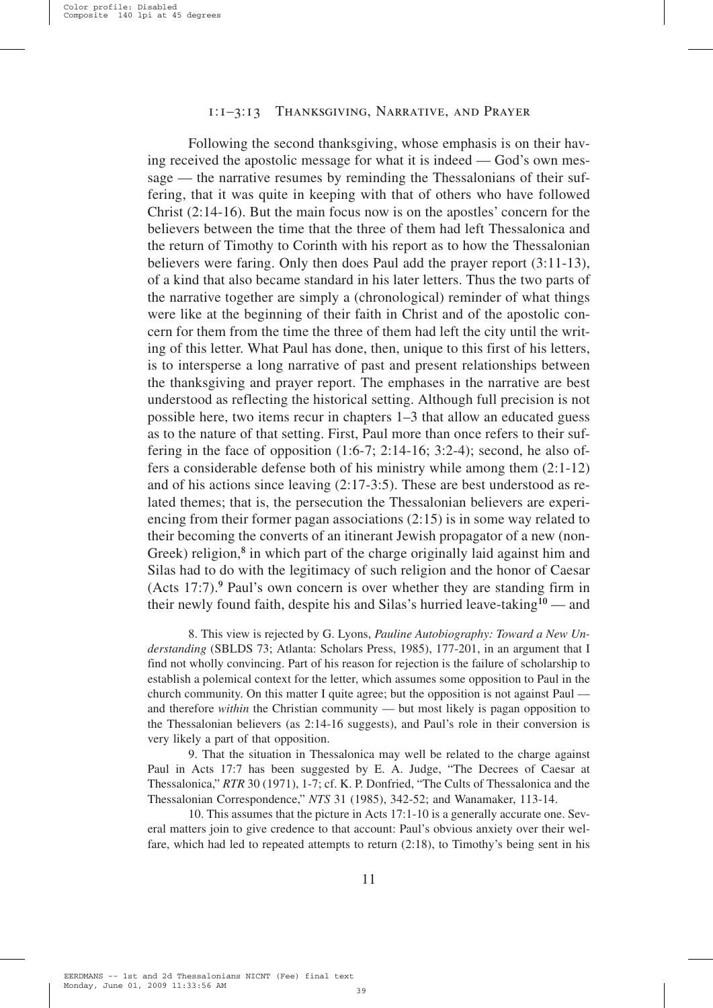#### 1:1–3:13 Thanksgiving, Narrative, and Prayer

Following the second thanksgiving, whose emphasis is on their having received the apostolic message for what it is indeed — God's own message — the narrative resumes by reminding the Thessalonians of their suffering, that it was quite in keeping with that of others who have followed Christ (2:14-16). But the main focus now is on the apostles' concern for the believers between the time that the three of them had left Thessalonica and the return of Timothy to Corinth with his report as to how the Thessalonian believers were faring. Only then does Paul add the prayer report (3:11-13), of a kind that also became standard in his later letters. Thus the two parts of the narrative together are simply a (chronological) reminder of what things were like at the beginning of their faith in Christ and of the apostolic concern for them from the time the three of them had left the city until the writing of this letter. What Paul has done, then, unique to this first of his letters, is to intersperse a long narrative of past and present relationships between the thanksgiving and prayer report. The emphases in the narrative are best understood as reflecting the historical setting. Although full precision is not possible here, two items recur in chapters 1–3 that allow an educated guess as to the nature of that setting. First, Paul more than once refers to their suffering in the face of opposition  $(1:6-7; 2:14-16; 3:2-4)$ ; second, he also offers a considerable defense both of his ministry while among them (2:1-12) and of his actions since leaving  $(2.17-3.5)$ . These are best understood as related themes; that is, the persecution the Thessalonian believers are experiencing from their former pagan associations (2:15) is in some way related to their becoming the converts of an itinerant Jewish propagator of a new (non-Greek) religion, $\delta$  in which part of the charge originally laid against him and Silas had to do with the legitimacy of such religion and the honor of Caesar (Acts 17:7).9 Paul's own concern is over whether they are standing firm in their newly found faith, despite his and Silas's hurried leave-taking<sup>10</sup> — and

8. This view is rejected by G. Lyons, *Pauline Autobiography: Toward a New Understanding* (SBLDS 73; Atlanta: Scholars Press, 1985), 177-201, in an argument that I find not wholly convincing. Part of his reason for rejection is the failure of scholarship to establish a polemical context for the letter, which assumes some opposition to Paul in the church community. On this matter I quite agree; but the opposition is not against Paul and therefore *within* the Christian community — but most likely is pagan opposition to the Thessalonian believers (as 2:14-16 suggests), and Paul's role in their conversion is very likely a part of that opposition.

9. That the situation in Thessalonica may well be related to the charge against Paul in Acts 17:7 has been suggested by E. A. Judge, "The Decrees of Caesar at Thessalonica," *RTR* 30 (1971), 1-7; cf. K. P. Donfried, "The Cults of Thessalonica and the Thessalonian Correspondence," *NTS* 31 (1985), 342-52; and Wanamaker, 113-14.

10. This assumes that the picture in Acts 17:1-10 is a generally accurate one. Several matters join to give credence to that account: Paul's obvious anxiety over their welfare, which had led to repeated attempts to return (2:18), to Timothy's being sent in his

EERDMANS -- 1st and 2d Thessalonians NICNT (Fee) final text Monday, June 01, 2009 11:33:56 AM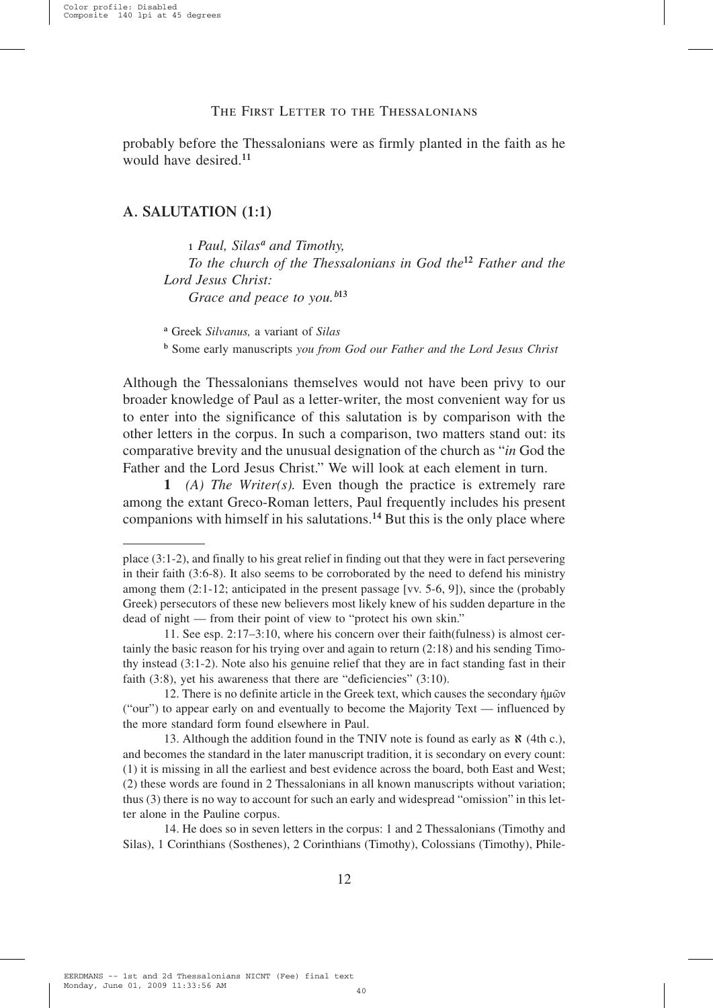probably before the Thessalonians were as firmly planted in the faith as he would have desired.<sup>11</sup>

#### **A. SALUTATION (1:1)**

*1 Paul, Silasa and Timothy, To the church of the Thessalonians in God the12 Father and the Lord Jesus Christ: Grace and peace to you.b13*

a Greek *Silvanus,* a variant of *Silas*

b Some early manuscripts *you from God our Father and the Lord Jesus Christ*

Although the Thessalonians themselves would not have been privy to our broader knowledge of Paul as a letter-writer, the most convenient way for us to enter into the significance of this salutation is by comparison with the other letters in the corpus. In such a comparison, two matters stand out: its comparative brevity and the unusual designation of the church as "*in* God the Father and the Lord Jesus Christ." We will look at each element in turn.

**1** *(A) The Writer(s).* Even though the practice is extremely rare among the extant Greco-Roman letters, Paul frequently includes his present companions with himself in his salutations.14 But this is the only place where

place (3:1-2), and finally to his great relief in finding out that they were in fact persevering in their faith (3:6-8). It also seems to be corroborated by the need to defend his ministry among them (2:1-12; anticipated in the present passage [vv. 5-6, 9]), since the (probably Greek) persecutors of these new believers most likely knew of his sudden departure in the dead of night — from their point of view to "protect his own skin."

<sup>11.</sup> See esp. 2:17–3:10, where his concern over their faith(fulness) is almost certainly the basic reason for his trying over and again to return (2:18) and his sending Timothy instead (3:1-2). Note also his genuine relief that they are in fact standing fast in their faith (3:8), yet his awareness that there are "deficiencies" (3:10).

<sup>12.</sup> There is no definite article in the Greek text, which causes the secondary ήμων ("our") to appear early on and eventually to become the Majority Text — influenced by the more standard form found elsewhere in Paul.

<sup>13.</sup> Although the addition found in the TNIV note is found as early as  $\aleph$  (4th c.), and becomes the standard in the later manuscript tradition, it is secondary on every count: (1) it is missing in all the earliest and best evidence across the board, both East and West; (2) these words are found in 2 Thessalonians in all known manuscripts without variation; thus (3) there is no way to account for such an early and widespread "omission" in this letter alone in the Pauline corpus.

<sup>14.</sup> He does so in seven letters in the corpus: 1 and 2 Thessalonians (Timothy and Silas), 1 Corinthians (Sosthenes), 2 Corinthians (Timothy), Colossians (Timothy), Phile-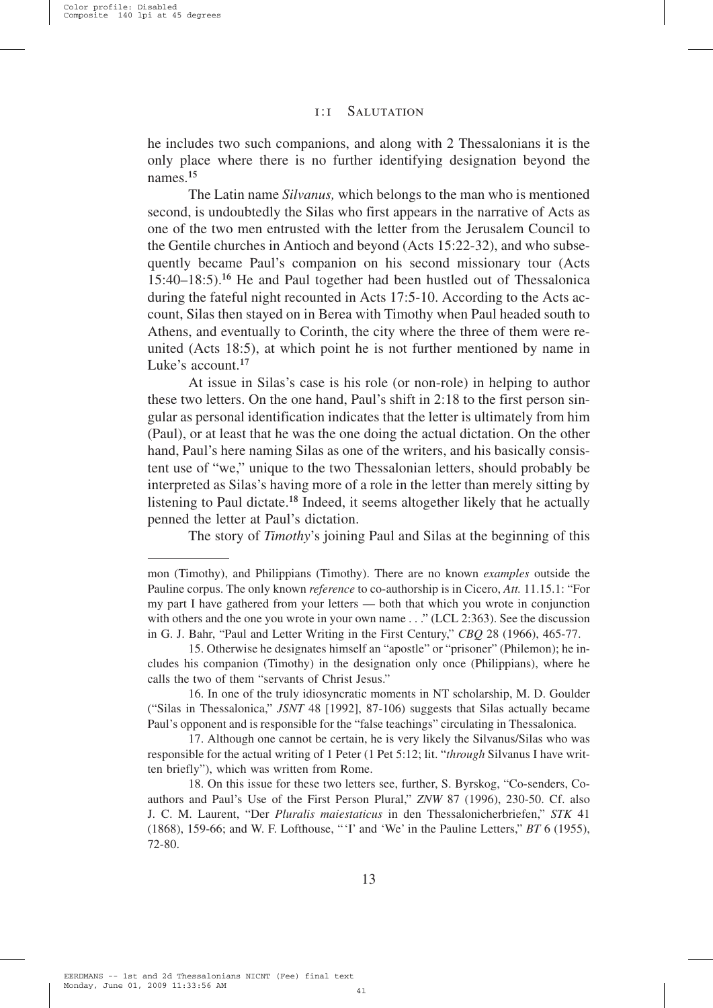#### 1:1 Salutation

he includes two such companions, and along with 2 Thessalonians it is the only place where there is no further identifying designation beyond the names.15

The Latin name *Silvanus,* which belongs to the man who is mentioned second, is undoubtedly the Silas who first appears in the narrative of Acts as one of the two men entrusted with the letter from the Jerusalem Council to the Gentile churches in Antioch and beyond (Acts 15:22-32), and who subsequently became Paul's companion on his second missionary tour (Acts 15:40–18:5).16 He and Paul together had been hustled out of Thessalonica during the fateful night recounted in Acts 17:5-10. According to the Acts account, Silas then stayed on in Berea with Timothy when Paul headed south to Athens, and eventually to Corinth, the city where the three of them were reunited (Acts 18:5), at which point he is not further mentioned by name in Luke's account.<sup>17</sup>

At issue in Silas's case is his role (or non-role) in helping to author these two letters. On the one hand, Paul's shift in 2:18 to the first person singular as personal identification indicates that the letter is ultimately from him (Paul), or at least that he was the one doing the actual dictation. On the other hand, Paul's here naming Silas as one of the writers, and his basically consistent use of "we," unique to the two Thessalonian letters, should probably be interpreted as Silas's having more of a role in the letter than merely sitting by listening to Paul dictate.<sup>18</sup> Indeed, it seems altogether likely that he actually penned the letter at Paul's dictation.

The story of *Timothy*'s joining Paul and Silas at the beginning of this

mon (Timothy), and Philippians (Timothy). There are no known *examples* outside the Pauline corpus. The only known *reference* to co-authorship is in Cicero, *Att.* 11.15.1: "For my part I have gathered from your letters — both that which you wrote in conjunction with others and the one you wrote in your own name . . ." (LCL 2:363). See the discussion in G. J. Bahr, "Paul and Letter Writing in the First Century," *CBQ* 28 (1966), 465-77.

<sup>15.</sup> Otherwise he designates himself an "apostle" or "prisoner" (Philemon); he includes his companion (Timothy) in the designation only once (Philippians), where he calls the two of them "servants of Christ Jesus."

<sup>16.</sup> In one of the truly idiosyncratic moments in NT scholarship, M. D. Goulder ("Silas in Thessalonica," *JSNT* 48 [1992], 87-106) suggests that Silas actually became Paul's opponent and is responsible for the "false teachings" circulating in Thessalonica.

<sup>17.</sup> Although one cannot be certain, he is very likely the Silvanus/Silas who was responsible for the actual writing of 1 Peter (1 Pet 5:12; lit. "*through* Silvanus I have written briefly"), which was written from Rome.

<sup>18.</sup> On this issue for these two letters see, further, S. Byrskog, "Co-senders, Coauthors and Paul's Use of the First Person Plural," *ZNW* 87 (1996), 230-50. Cf. also J. C. M. Laurent, "Der *Pluralis maiestaticus* in den Thessalonicherbriefen," *STK* 41 (1868), 159-66; and W. F. Lofthouse, "'I' and 'We' in the Pauline Letters," *BT* 6 (1955), 72-80.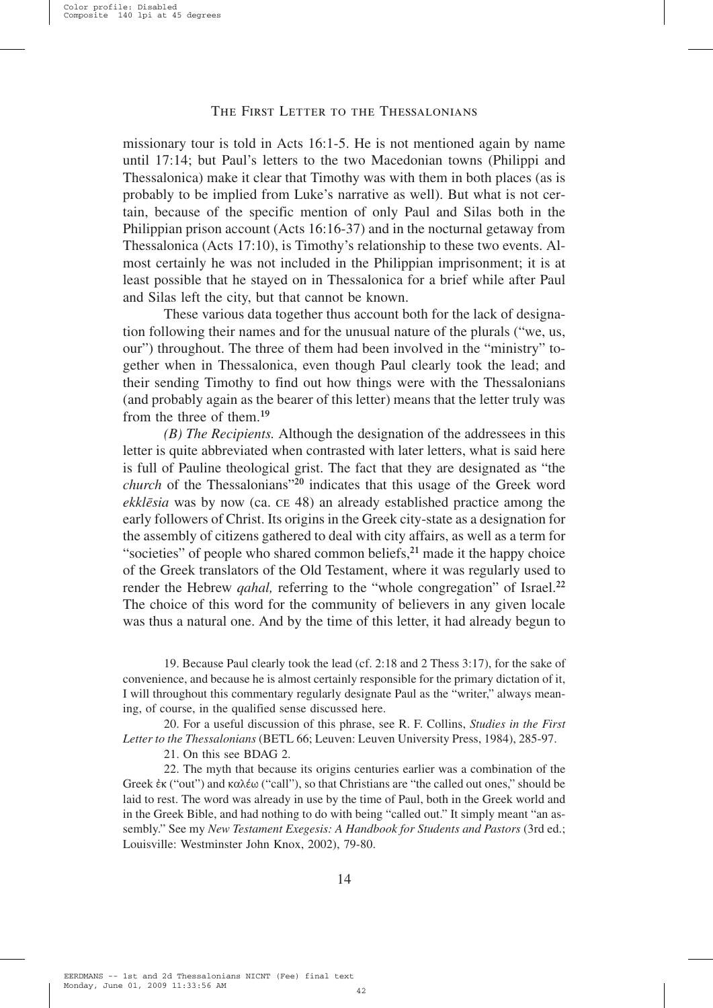missionary tour is told in Acts 16:1-5. He is not mentioned again by name until 17:14; but Paul's letters to the two Macedonian towns (Philippi and Thessalonica) make it clear that Timothy was with them in both places (as is probably to be implied from Luke's narrative as well). But what is not certain, because of the specific mention of only Paul and Silas both in the Philippian prison account (Acts 16:16-37) and in the nocturnal getaway from Thessalonica (Acts 17:10), is Timothy's relationship to these two events. Almost certainly he was not included in the Philippian imprisonment; it is at least possible that he stayed on in Thessalonica for a brief while after Paul and Silas left the city, but that cannot be known.

These various data together thus account both for the lack of designation following their names and for the unusual nature of the plurals ("we, us, our") throughout. The three of them had been involved in the "ministry" together when in Thessalonica, even though Paul clearly took the lead; and their sending Timothy to find out how things were with the Thessalonians (and probably again as the bearer of this letter) means that the letter truly was from the three of them.<sup>19</sup>

*(B) The Recipients.* Although the designation of the addressees in this letter is quite abbreviated when contrasted with later letters, what is said here is full of Pauline theological grist. The fact that they are designated as "the *church* of the Thessalonians"20 indicates that this usage of the Greek word *ekklēsia* was by now (ca. CE 48) an already established practice among the early followers of Christ. Its origins in the Greek city-state as a designation for the assembly of citizens gathered to deal with city affairs, as well as a term for "societies" of people who shared common beliefs, $^{21}$  made it the happy choice of the Greek translators of the Old Testament, where it was regularly used to render the Hebrew *qahal*, referring to the "whole congregation" of Israel.<sup>22</sup> The choice of this word for the community of believers in any given locale was thus a natural one. And by the time of this letter, it had already begun to

19. Because Paul clearly took the lead (cf. 2:18 and 2 Thess 3:17), for the sake of convenience, and because he is almost certainly responsible for the primary dictation of it, I will throughout this commentary regularly designate Paul as the "writer," always meaning, of course, in the qualified sense discussed here.

20. For a useful discussion of this phrase, see R. F. Collins, *Studies in the First Letter to the Thessalonians* (BETL 66; Leuven: Leuven University Press, 1984), 285-97.

21. On this see BDAG 2.

22. The myth that because its origins centuries earlier was a combination of the Greek  $\dot{\epsilon}$  ("out") and  $\kappa \alpha \dot{\epsilon} \omega$  ("call"), so that Christians are "the called out ones," should be laid to rest. The word was already in use by the time of Paul, both in the Greek world and in the Greek Bible, and had nothing to do with being "called out." It simply meant "an assembly." See my *New Testament Exegesis: A Handbook for Students and Pastors* (3rd ed.; Louisville: Westminster John Knox, 2002), 79-80.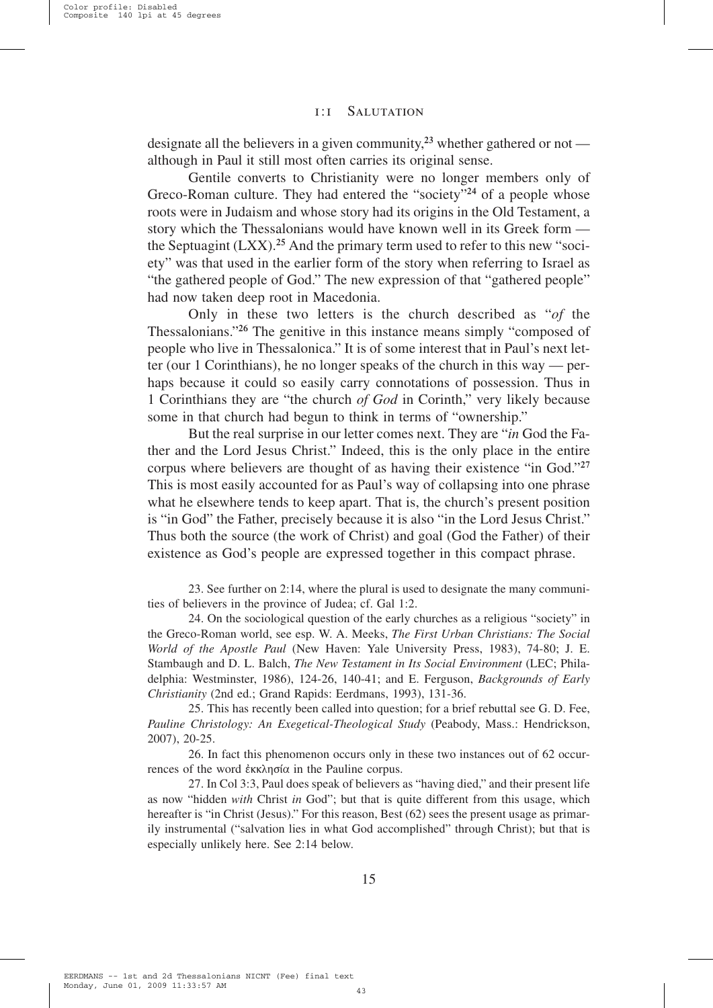#### 1:1 Salutation

designate all the believers in a given community,<sup>23</sup> whether gathered or not although in Paul it still most often carries its original sense.

Gentile converts to Christianity were no longer members only of Greco-Roman culture. They had entered the "society"24 of a people whose roots were in Judaism and whose story had its origins in the Old Testament, a story which the Thessalonians would have known well in its Greek form the Septuagint  $(LXX)$ .<sup>25</sup> And the primary term used to refer to this new "soci-ety" was that used in the earlier form of the story when referring to Israel as "the gathered people of God." The new expression of that "gathered people" had now taken deep root in Macedonia.

Only in these two letters is the church described as "*of* the Thessalonians."26 The genitive in this instance means simply "composed of people who live in Thessalonica." It is of some interest that in Paul's next letter (our 1 Corinthians), he no longer speaks of the church in this way — perhaps because it could so easily carry connotations of possession. Thus in 1 Corinthians they are "the church *of God* in Corinth," very likely because some in that church had begun to think in terms of "ownership."

But the real surprise in our letter comes next. They are "*in* God the Father and the Lord Jesus Christ." Indeed, this is the only place in the entire corpus where believers are thought of as having their existence "in God."27 This is most easily accounted for as Paul's way of collapsing into one phrase what he elsewhere tends to keep apart. That is, the church's present position is "in God" the Father, precisely because it is also "in the Lord Jesus Christ." Thus both the source (the work of Christ) and goal (God the Father) of their existence as God's people are expressed together in this compact phrase.

23. See further on 2:14, where the plural is used to designate the many communities of believers in the province of Judea; cf. Gal 1:2.

24. On the sociological question of the early churches as a religious "society" in the Greco-Roman world, see esp. W. A. Meeks, *The First Urban Christians: The Social World of the Apostle Paul* (New Haven: Yale University Press, 1983), 74-80; J. E. Stambaugh and D. L. Balch, *The New Testament in Its Social Environment* (LEC; Philadelphia: Westminster, 1986), 124-26, 140-41; and E. Ferguson, *Backgrounds of Early Christianity* (2nd ed.; Grand Rapids: Eerdmans, 1993), 131-36.

25. This has recently been called into question; for a brief rebuttal see G. D. Fee, *Pauline Christology: An Exegetical-Theological Study* (Peabody, Mass.: Hendrickson, 2007), 20-25.

26. In fact this phenomenon occurs only in these two instances out of 62 occurrences of the word ἐκκλησία in the Pauline corpus.

27. In Col 3:3, Paul does speak of believers as "having died," and their present life as now "hidden *with* Christ *in* God"; but that is quite different from this usage, which hereafter is "in Christ (Jesus)." For this reason, Best (62) sees the present usage as primarily instrumental ("salvation lies in what God accomplished" through Christ); but that is especially unlikely here. See 2:14 below.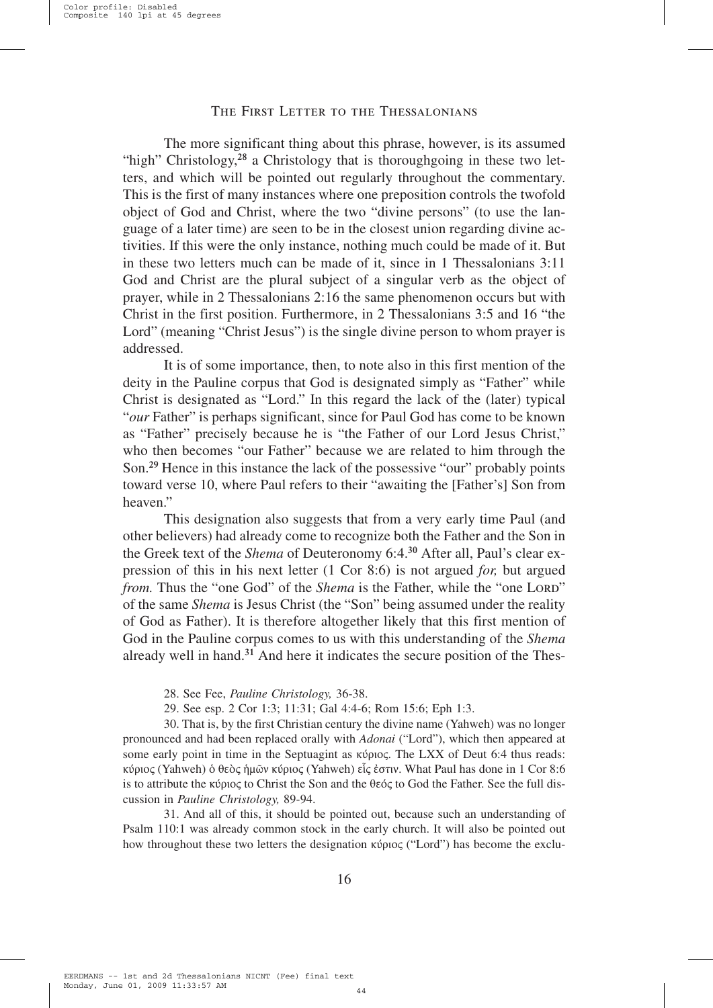The more significant thing about this phrase, however, is its assumed "high" Christology, $2^8$  a Christology that is thoroughgoing in these two letters, and which will be pointed out regularly throughout the commentary. This is the first of many instances where one preposition controls the twofold object of God and Christ, where the two "divine persons" (to use the language of a later time) are seen to be in the closest union regarding divine activities. If this were the only instance, nothing much could be made of it. But in these two letters much can be made of it, since in 1 Thessalonians 3:11 God and Christ are the plural subject of a singular verb as the object of prayer, while in 2 Thessalonians 2:16 the same phenomenon occurs but with Christ in the first position. Furthermore, in 2 Thessalonians 3:5 and 16 "the Lord" (meaning "Christ Jesus") is the single divine person to whom prayer is addressed.

It is of some importance, then, to note also in this first mention of the deity in the Pauline corpus that God is designated simply as "Father" while Christ is designated as "Lord." In this regard the lack of the (later) typical "*our* Father" is perhaps significant, since for Paul God has come to be known as "Father" precisely because he is "the Father of our Lord Jesus Christ," who then becomes "our Father" because we are related to him through the Son.29 Hence in this instance the lack of the possessive "our" probably points toward verse 10, where Paul refers to their "awaiting the [Father's] Son from heaven."

This designation also suggests that from a very early time Paul (and other believers) had already come to recognize both the Father and the Son in the Greek text of the *Shema* of Deuteronomy 6:4.30 After all, Paul's clear expression of this in his next letter (1 Cor 8:6) is not argued *for,* but argued *from.* Thus the "one God" of the *Shema* is the Father, while the "one LORD" of the same *Shema* is Jesus Christ (the "Son" being assumed under the reality of God as Father). It is therefore altogether likely that this first mention of God in the Pauline corpus comes to us with this understanding of the *Shema* already well in hand.<sup>31</sup> And here it indicates the secure position of the Thes-

28. See Fee, *Pauline Christology,* 36-38.

29. See esp. 2 Cor 1:3; 11:31; Gal 4:4-6; Rom 15:6; Eph 1:3.

30. That is, by the first Christian century the divine name (Yahweh) was no longer pronounced and had been replaced orally with *Adonai* ("Lord"), which then appeared at some early point in time in the Septuagint as  $\kappa$ ύριος. The LXX of Deut 6:4 thus reads: κύριος (Yahweh) ὁ θεὸς ἡμῶν κύριος (Yahweh) εἶς ἐστιν. What Paul has done in 1 Cor 8:6 is to attribute the  $\kappa\psi\rho\sigma\phi$  to Christ the Son and the  $\theta\epsilon\dot{\sigma}\phi\phi$  to God the Father. See the full discussion in *Pauline Christology,* 89-94.

31. And all of this, it should be pointed out, because such an understanding of Psalm 110:1 was already common stock in the early church. It will also be pointed out how throughout these two letters the designation  $\kappa\psi\rho\phi\phi$  ("Lord") has become the exclu-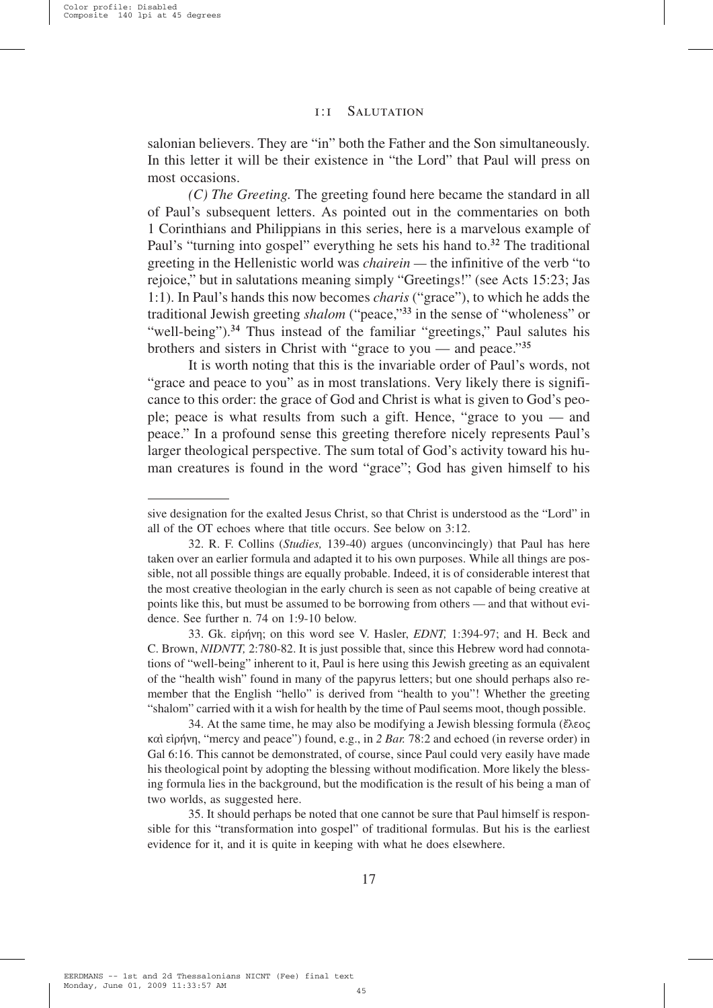#### 1:1 Salutation

salonian believers. They are "in" both the Father and the Son simultaneously. In this letter it will be their existence in "the Lord" that Paul will press on most occasions.

*(C) The Greeting.* The greeting found here became the standard in all of Paul's subsequent letters. As pointed out in the commentaries on both 1 Corinthians and Philippians in this series, here is a marvelous example of Paul's "turning into gospel" everything he sets his hand to.<sup>32</sup> The traditional greeting in the Hellenistic world was *chairein —* the infinitive of the verb "to rejoice," but in salutations meaning simply "Greetings!" (see Acts 15:23; Jas 1:1). In Paul's hands this now becomes *charis* ("grace"), to which he adds the traditional Jewish greeting *shalom* ("peace,"33 in the sense of "wholeness" or "well-being").<sup>34</sup> Thus instead of the familiar "greetings," Paul salutes his brothers and sisters in Christ with "grace to you — and peace."<sup>35</sup>

It is worth noting that this is the invariable order of Paul's words, not "grace and peace to you" as in most translations. Very likely there is significance to this order: the grace of God and Christ is what is given to God's people; peace is what results from such a gift. Hence, "grace to you — and peace." In a profound sense this greeting therefore nicely represents Paul's larger theological perspective. The sum total of God's activity toward his human creatures is found in the word "grace"; God has given himself to his

33. Gk. εἰρήνη; on this word see V. Hasler, *EDNT*, 1:394-97; and H. Beck and C. Brown, *NIDNTT,* 2:780-82. It is just possible that, since this Hebrew word had connotations of "well-being" inherent to it, Paul is here using this Jewish greeting as an equivalent of the "health wish" found in many of the papyrus letters; but one should perhaps also remember that the English "hello" is derived from "health to you"! Whether the greeting "shalom" carried with it a wish for health by the time of Paul seems moot, though possible.

34. At the same time, he may also be modifying a Jewish blessing formula ( $\epsilon \lambda \epsilon o \varsigma$ )  $κα$  εἰρήνη, "mercy and peace") found, e.g., in *2 Bar.* 78:2 and echoed (in reverse order) in Gal 6:16. This cannot be demonstrated, of course, since Paul could very easily have made his theological point by adopting the blessing without modification. More likely the blessing formula lies in the background, but the modification is the result of his being a man of two worlds, as suggested here.

35. It should perhaps be noted that one cannot be sure that Paul himself is responsible for this "transformation into gospel" of traditional formulas. But his is the earliest evidence for it, and it is quite in keeping with what he does elsewhere.

sive designation for the exalted Jesus Christ, so that Christ is understood as the "Lord" in all of the OT echoes where that title occurs. See below on 3:12.

<sup>32.</sup> R. F. Collins (*Studies,* 139-40) argues (unconvincingly) that Paul has here taken over an earlier formula and adapted it to his own purposes. While all things are possible, not all possible things are equally probable. Indeed, it is of considerable interest that the most creative theologian in the early church is seen as not capable of being creative at points like this, but must be assumed to be borrowing from others — and that without evidence. See further n. 74 on 1:9-10 below.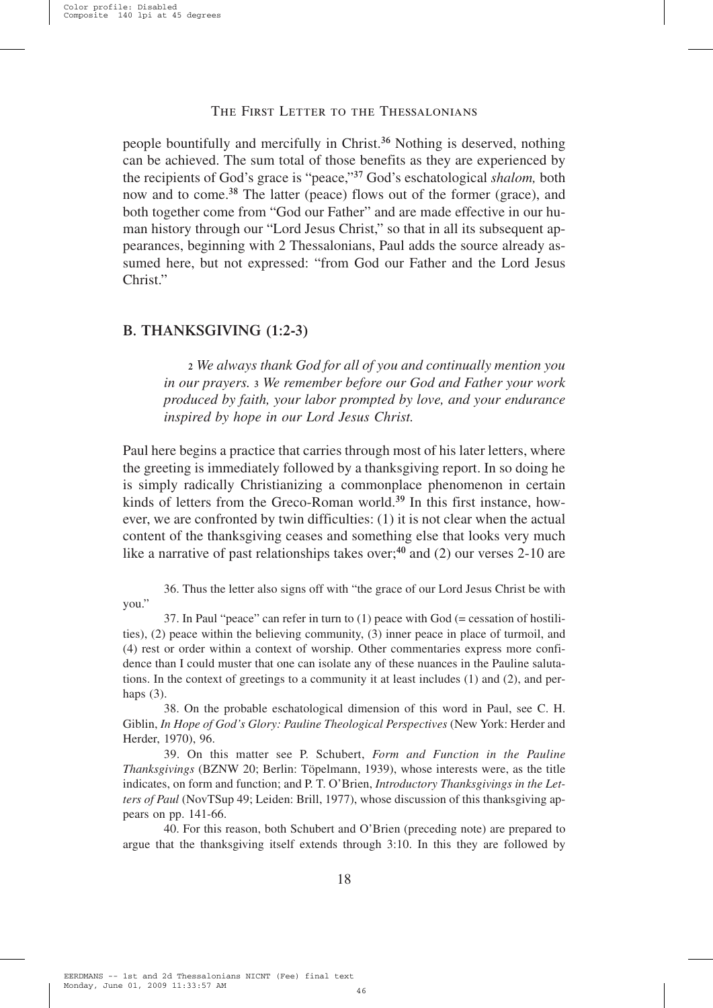people bountifully and mercifully in Christ.<sup>36</sup> Nothing is deserved, nothing can be achieved. The sum total of those benefits as they are experienced by the recipients of God's grace is "peace,"37 God's eschatological *shalom,* both now and to come.<sup>38</sup> The latter (peace) flows out of the former (grace), and both together come from "God our Father" and are made effective in our human history through our "Lord Jesus Christ," so that in all its subsequent appearances, beginning with 2 Thessalonians, Paul adds the source already assumed here, but not expressed: "from God our Father and the Lord Jesus Christ."

#### **B. THANKSGIVING (1:2-3)**

*2 We always thank God for all of you and continually mention you in our prayers. 3 We remember before our God and Father your work produced by faith, your labor prompted by love, and your endurance inspired by hope in our Lord Jesus Christ.*

Paul here begins a practice that carries through most of his later letters, where the greeting is immediately followed by a thanksgiving report. In so doing he is simply radically Christianizing a commonplace phenomenon in certain kinds of letters from the Greco-Roman world.<sup>39</sup> In this first instance, however, we are confronted by twin difficulties: (1) it is not clear when the actual content of the thanksgiving ceases and something else that looks very much like a narrative of past relationships takes over;<sup>40</sup> and (2) our verses 2-10 are

36. Thus the letter also signs off with "the grace of our Lord Jesus Christ be with you."

37. In Paul "peace" can refer in turn to (1) peace with God (= cessation of hostilities), (2) peace within the believing community, (3) inner peace in place of turmoil, and (4) rest or order within a context of worship. Other commentaries express more confidence than I could muster that one can isolate any of these nuances in the Pauline salutations. In the context of greetings to a community it at least includes (1) and (2), and perhaps (3).

38. On the probable eschatological dimension of this word in Paul, see C. H. Giblin, *In Hope of God's Glory: Pauline Theological Perspectives* (New York: Herder and Herder, 1970), 96.

39. On this matter see P. Schubert, *Form and Function in the Pauline Thanksgivings* (BZNW 20; Berlin: Töpelmann, 1939), whose interests were, as the title indicates, on form and function; and P. T. O'Brien, *Introductory Thanksgivings in the Letters of Paul* (NovTSup 49; Leiden: Brill, 1977), whose discussion of this thanksgiving appears on pp. 141-66.

40. For this reason, both Schubert and O'Brien (preceding note) are prepared to argue that the thanksgiving itself extends through 3:10. In this they are followed by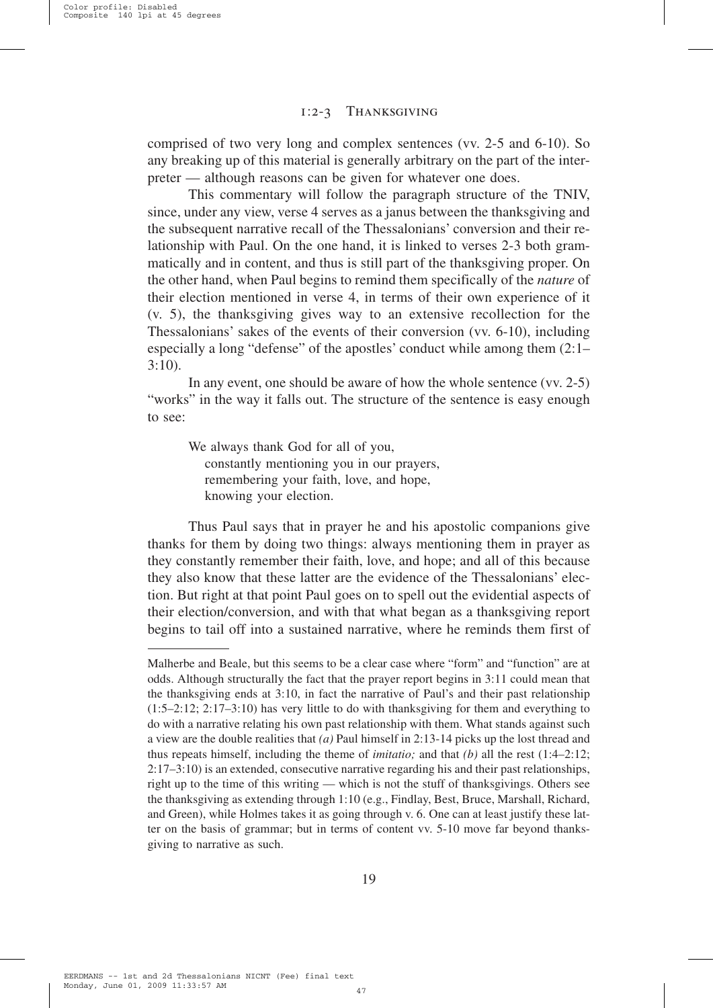#### 1:2-3 Thanksgiving

comprised of two very long and complex sentences (vv. 2-5 and 6-10). So any breaking up of this material is generally arbitrary on the part of the interpreter — although reasons can be given for whatever one does.

This commentary will follow the paragraph structure of the TNIV, since, under any view, verse 4 serves as a janus between the thanksgiving and the subsequent narrative recall of the Thessalonians' conversion and their relationship with Paul. On the one hand, it is linked to verses 2-3 both grammatically and in content, and thus is still part of the thanksgiving proper. On the other hand, when Paul begins to remind them specifically of the *nature* of their election mentioned in verse 4, in terms of their own experience of it (v. 5), the thanksgiving gives way to an extensive recollection for the Thessalonians' sakes of the events of their conversion (vv. 6-10), including especially a long "defense" of the apostles' conduct while among them (2:1–  $3:10$ ).

In any event, one should be aware of how the whole sentence (vv. 2-5) "works" in the way it falls out. The structure of the sentence is easy enough to see:

We always thank God for all of you, constantly mentioning you in our prayers, remembering your faith, love, and hope, knowing your election.

Thus Paul says that in prayer he and his apostolic companions give thanks for them by doing two things: always mentioning them in prayer as they constantly remember their faith, love, and hope; and all of this because they also know that these latter are the evidence of the Thessalonians' election. But right at that point Paul goes on to spell out the evidential aspects of their election/conversion, and with that what began as a thanksgiving report begins to tail off into a sustained narrative, where he reminds them first of

Malherbe and Beale, but this seems to be a clear case where "form" and "function" are at odds. Although structurally the fact that the prayer report begins in 3:11 could mean that the thanksgiving ends at 3:10, in fact the narrative of Paul's and their past relationship (1:5–2:12; 2:17–3:10) has very little to do with thanksgiving for them and everything to do with a narrative relating his own past relationship with them. What stands against such a view are the double realities that *(a)* Paul himself in 2:13-14 picks up the lost thread and thus repeats himself, including the theme of *imitatio;* and that *(b)* all the rest (1:4–2:12; 2:17–3:10) is an extended, consecutive narrative regarding his and their past relationships, right up to the time of this writing — which is not the stuff of thanksgivings. Others see the thanksgiving as extending through 1:10 (e.g., Findlay, Best, Bruce, Marshall, Richard, and Green), while Holmes takes it as going through v. 6. One can at least justify these latter on the basis of grammar; but in terms of content vv. 5-10 move far beyond thanksgiving to narrative as such.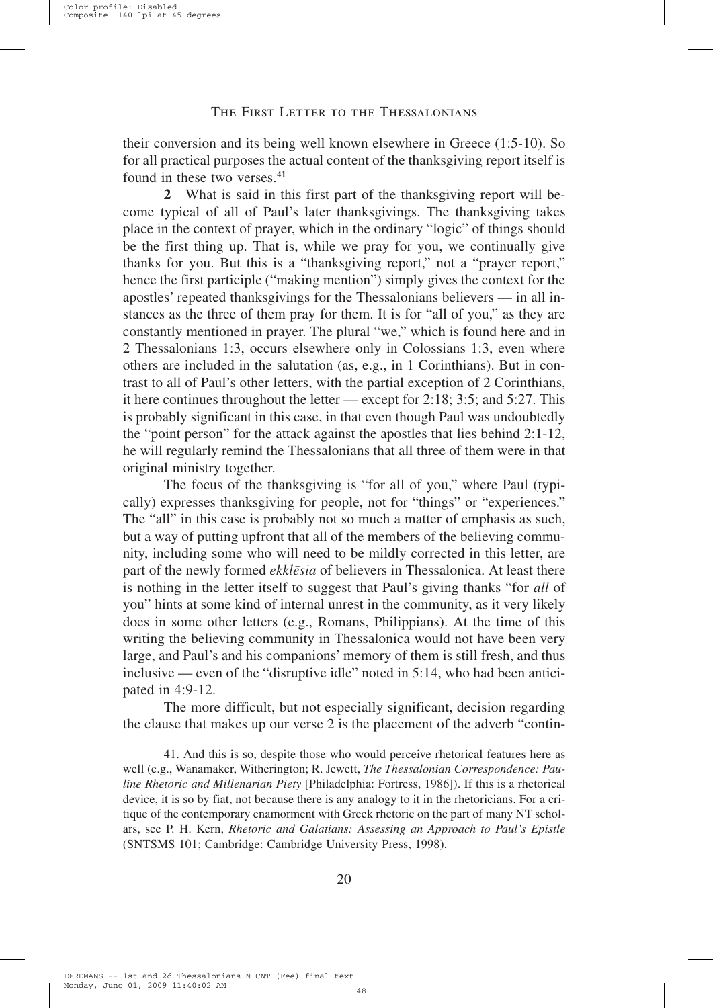their conversion and its being well known elsewhere in Greece (1:5-10). So for all practical purposes the actual content of the thanksgiving report itself is found in these two verses.<sup>41</sup>

**2** What is said in this first part of the thanksgiving report will become typical of all of Paul's later thanksgivings. The thanksgiving takes place in the context of prayer, which in the ordinary "logic" of things should be the first thing up. That is, while we pray for you, we continually give thanks for you. But this is a "thanksgiving report," not a "prayer report," hence the first participle ("making mention") simply gives the context for the apostles' repeated thanksgivings for the Thessalonians believers — in all instances as the three of them pray for them. It is for "all of you," as they are constantly mentioned in prayer. The plural "we," which is found here and in 2 Thessalonians 1:3, occurs elsewhere only in Colossians 1:3, even where others are included in the salutation (as, e.g., in 1 Corinthians). But in contrast to all of Paul's other letters, with the partial exception of 2 Corinthians, it here continues throughout the letter — except for 2:18; 3:5; and 5:27. This is probably significant in this case, in that even though Paul was undoubtedly the "point person" for the attack against the apostles that lies behind 2:1-12, he will regularly remind the Thessalonians that all three of them were in that original ministry together.

The focus of the thanksgiving is "for all of you," where Paul (typically) expresses thanksgiving for people, not for "things" or "experiences." The "all" in this case is probably not so much a matter of emphasis as such, but a way of putting upfront that all of the members of the believing community, including some who will need to be mildly corrected in this letter, are part of the newly formed *ekklēsia* of believers in Thessalonica. At least there is nothing in the letter itself to suggest that Paul's giving thanks "for *all* of you" hints at some kind of internal unrest in the community, as it very likely does in some other letters (e.g., Romans, Philippians). At the time of this writing the believing community in Thessalonica would not have been very large, and Paul's and his companions' memory of them is still fresh, and thus inclusive — even of the "disruptive idle" noted in 5:14, who had been anticipated in 4:9-12.

The more difficult, but not especially significant, decision regarding the clause that makes up our verse 2 is the placement of the adverb "contin-

41. And this is so, despite those who would perceive rhetorical features here as well (e.g., Wanamaker, Witherington; R. Jewett, *The Thessalonian Correspondence: Pauline Rhetoric and Millenarian Piety* [Philadelphia: Fortress, 1986]). If this is a rhetorical device, it is so by fiat, not because there is any analogy to it in the rhetoricians. For a critique of the contemporary enamorment with Greek rhetoric on the part of many NT scholars, see P. H. Kern, *Rhetoric and Galatians: Assessing an Approach to Paul's Epistle* (SNTSMS 101; Cambridge: Cambridge University Press, 1998).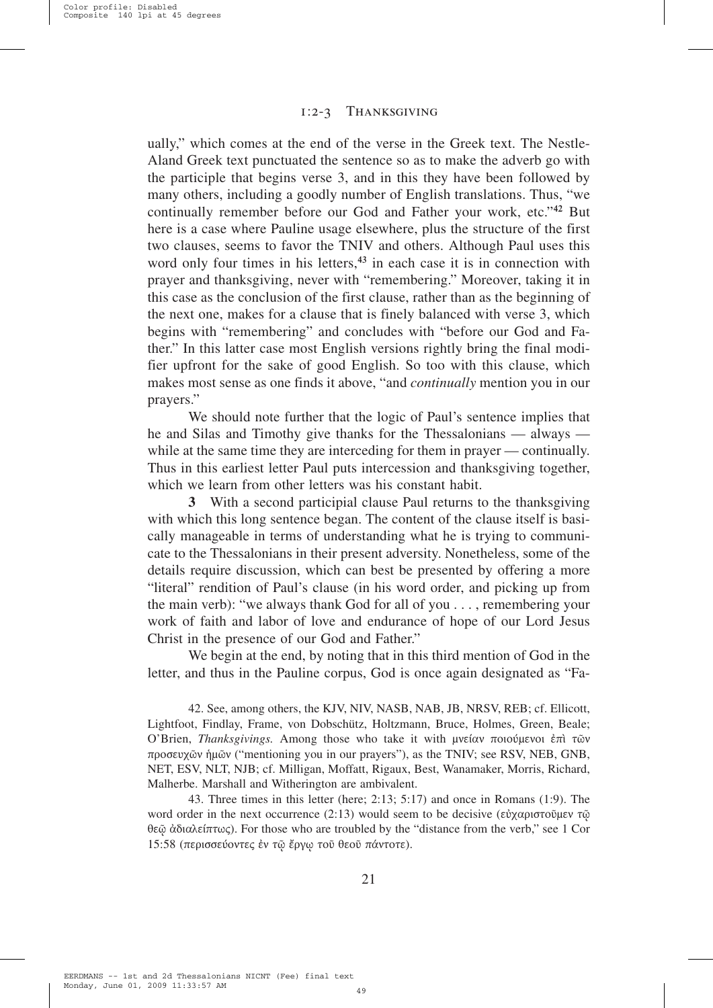#### 1:2-3 Thanksgiving

ually," which comes at the end of the verse in the Greek text. The Nestle-Aland Greek text punctuated the sentence so as to make the adverb go with the participle that begins verse 3, and in this they have been followed by many others, including a goodly number of English translations. Thus, "we continually remember before our God and Father your work, etc."42 But here is a case where Pauline usage elsewhere, plus the structure of the first two clauses, seems to favor the TNIV and others. Although Paul uses this word only four times in his letters, $43$  in each case it is in connection with prayer and thanksgiving, never with "remembering." Moreover, taking it in this case as the conclusion of the first clause, rather than as the beginning of the next one, makes for a clause that is finely balanced with verse 3, which begins with "remembering" and concludes with "before our God and Father." In this latter case most English versions rightly bring the final modifier upfront for the sake of good English. So too with this clause, which makes most sense as one finds it above, "and *continually* mention you in our prayers."

We should note further that the logic of Paul's sentence implies that he and Silas and Timothy give thanks for the Thessalonians — always while at the same time they are interceding for them in prayer — continually. Thus in this earliest letter Paul puts intercession and thanksgiving together, which we learn from other letters was his constant habit.

**3** With a second participial clause Paul returns to the thanksgiving with which this long sentence began. The content of the clause itself is basically manageable in terms of understanding what he is trying to communicate to the Thessalonians in their present adversity. Nonetheless, some of the details require discussion, which can best be presented by offering a more "literal" rendition of Paul's clause (in his word order, and picking up from the main verb): "we always thank God for all of you..., remembering your work of faith and labor of love and endurance of hope of our Lord Jesus Christ in the presence of our God and Father."

We begin at the end, by noting that in this third mention of God in the letter, and thus in the Pauline corpus, God is once again designated as "Fa-

42. See, among others, the KJV, NIV, NASB, NAB, JB, NRSV, REB; cf. Ellicott, Lightfoot, Findlay, Frame, von Dobschütz, Holtzmann, Bruce, Holmes, Green, Beale; O'Brien, *Thanksgivings*. Among those who take it with  $\mu$ νείαν ποιούμενοι έπι τῶν προσευχῶν ἡμῶν ("mentioning you in our prayers"), as the TNIV; see RSV, NEB, GNB, NET, ESV, NLT, NJB; cf. Milligan, Moffatt, Rigaux, Best, Wanamaker, Morris, Richard, Malherbe. Marshall and Witherington are ambivalent.

43. Three times in this letter (here; 2:13; 5:17) and once in Romans (1:9). The word order in the next occurrence (2:13) would seem to be decisive (εύχαριστοῦμεν τῷ  $\theta \in \tilde{\omega}$   $\dot{\alpha}$ διαλείπτως). For those who are troubled by the "distance from the verb," see 1 Cor 15:58 (περισσεύοντες έν τω έργω τοῦ θεοῦ πάντοτε).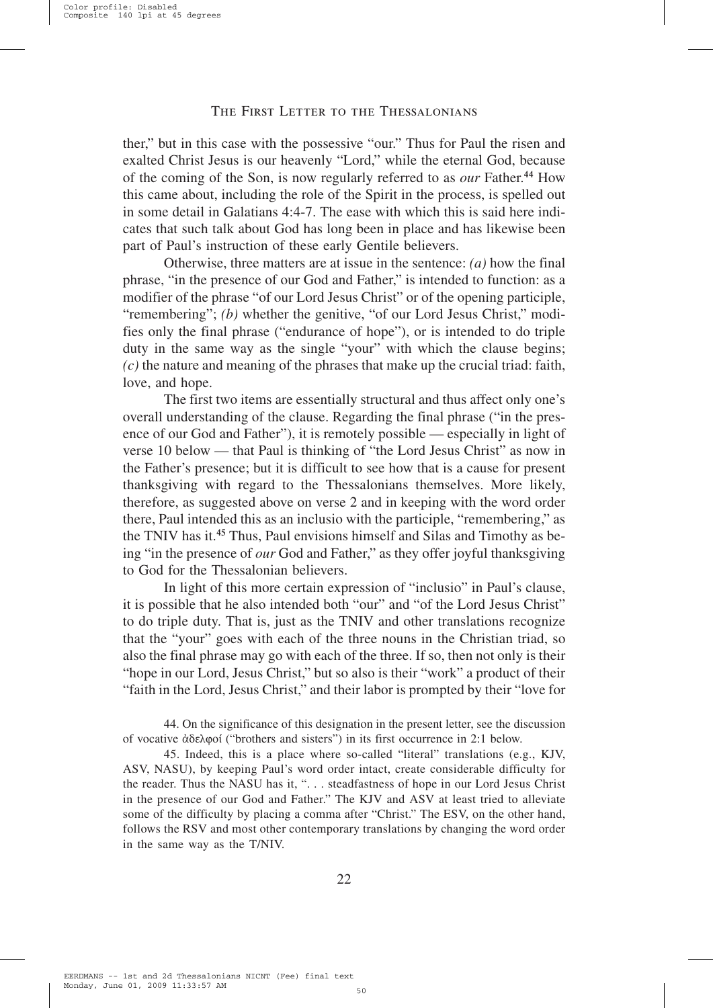ther," but in this case with the possessive "our." Thus for Paul the risen and exalted Christ Jesus is our heavenly "Lord," while the eternal God, because of the coming of the Son, is now regularly referred to as *our* Father.44 How this came about, including the role of the Spirit in the process, is spelled out in some detail in Galatians 4:4-7. The ease with which this is said here indicates that such talk about God has long been in place and has likewise been part of Paul's instruction of these early Gentile believers.

Otherwise, three matters are at issue in the sentence: *(a)* how the final phrase, "in the presence of our God and Father," is intended to function: as a modifier of the phrase "of our Lord Jesus Christ" or of the opening participle, "remembering"; *(b)* whether the genitive, "of our Lord Jesus Christ," modifies only the final phrase ("endurance of hope"), or is intended to do triple duty in the same way as the single "your" with which the clause begins; *(c)* the nature and meaning of the phrases that make up the crucial triad: faith, love, and hope.

The first two items are essentially structural and thus affect only one's overall understanding of the clause. Regarding the final phrase ("in the presence of our God and Father"), it is remotely possible — especially in light of verse 10 below — that Paul is thinking of "the Lord Jesus Christ" as now in the Father's presence; but it is difficult to see how that is a cause for present thanksgiving with regard to the Thessalonians themselves. More likely, therefore, as suggested above on verse 2 and in keeping with the word order there, Paul intended this as an inclusio with the participle, "remembering," as the TNIV has it.45 Thus, Paul envisions himself and Silas and Timothy as being "in the presence of *our* God and Father," as they offer joyful thanksgiving to God for the Thessalonian believers.

In light of this more certain expression of "inclusio" in Paul's clause, it is possible that he also intended both "our" and "of the Lord Jesus Christ" to do triple duty. That is, just as the TNIV and other translations recognize that the "your" goes with each of the three nouns in the Christian triad, so also the final phrase may go with each of the three. If so, then not only is their "hope in our Lord, Jesus Christ," but so also is their "work" a product of their "faith in the Lord, Jesus Christ," and their labor is prompted by their "love for

44. On the significance of this designation in the present letter, see the discussion of vocative ἀδελφοί ("brothers and sisters") in its first occurrence in 2:1 below.

45. Indeed, this is a place where so-called "literal" translations (e.g., KJV, ASV, NASU), by keeping Paul's word order intact, create considerable difficulty for the reader. Thus the NASU has it, ". . . steadfastness of hope in our Lord Jesus Christ in the presence of our God and Father." The KJV and ASV at least tried to alleviate some of the difficulty by placing a comma after "Christ." The ESV, on the other hand, follows the RSV and most other contemporary translations by changing the word order in the same way as the T/NIV.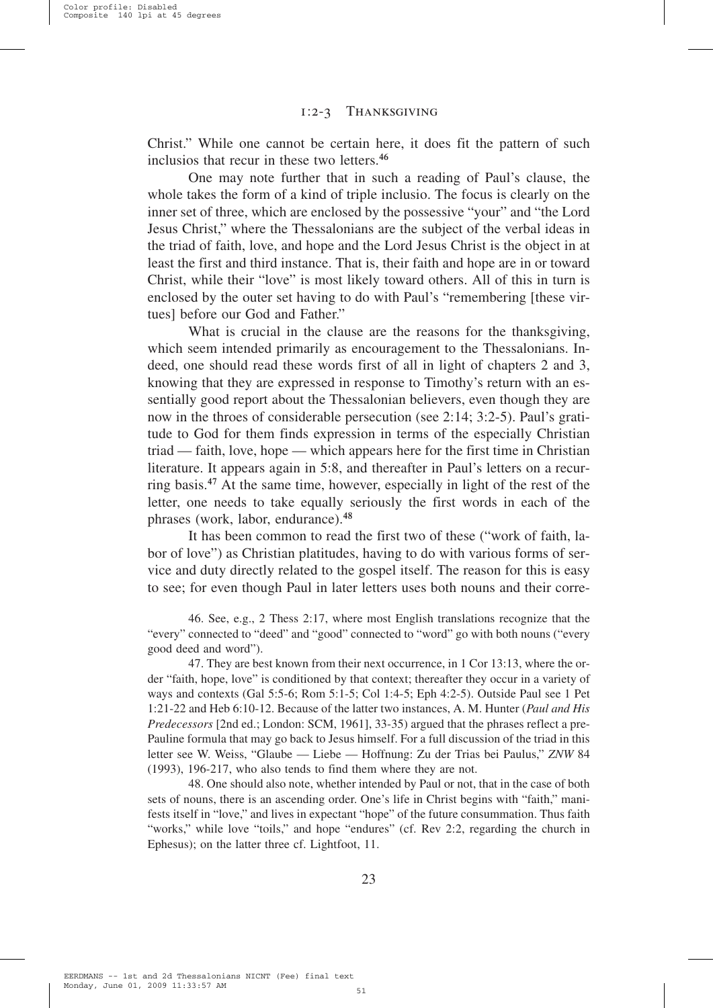#### 1:2-3 Thanksgiving

Christ." While one cannot be certain here, it does fit the pattern of such inclusios that recur in these two letters.<sup>46</sup>

One may note further that in such a reading of Paul's clause, the whole takes the form of a kind of triple inclusio. The focus is clearly on the inner set of three, which are enclosed by the possessive "your" and "the Lord Jesus Christ," where the Thessalonians are the subject of the verbal ideas in the triad of faith, love, and hope and the Lord Jesus Christ is the object in at least the first and third instance. That is, their faith and hope are in or toward Christ, while their "love" is most likely toward others. All of this in turn is enclosed by the outer set having to do with Paul's "remembering [these virtues] before our God and Father."

What is crucial in the clause are the reasons for the thanksgiving, which seem intended primarily as encouragement to the Thessalonians. Indeed, one should read these words first of all in light of chapters 2 and 3, knowing that they are expressed in response to Timothy's return with an essentially good report about the Thessalonian believers, even though they are now in the throes of considerable persecution (see 2:14; 3:2-5). Paul's gratitude to God for them finds expression in terms of the especially Christian triad — faith, love, hope — which appears here for the first time in Christian literature. It appears again in 5:8, and thereafter in Paul's letters on a recurring basis.47 At the same time, however, especially in light of the rest of the letter, one needs to take equally seriously the first words in each of the phrases (work, labor, endurance).48

It has been common to read the first two of these ("work of faith, labor of love") as Christian platitudes, having to do with various forms of service and duty directly related to the gospel itself. The reason for this is easy to see; for even though Paul in later letters uses both nouns and their corre-

46. See, e.g., 2 Thess 2:17, where most English translations recognize that the "every" connected to "deed" and "good" connected to "word" go with both nouns ("every good deed and word").

47. They are best known from their next occurrence, in 1 Cor 13:13, where the order "faith, hope, love" is conditioned by that context; thereafter they occur in a variety of ways and contexts (Gal 5:5-6; Rom 5:1-5; Col 1:4-5; Eph 4:2-5). Outside Paul see 1 Pet 1:21-22 and Heb 6:10-12. Because of the latter two instances, A. M. Hunter (*Paul and His Predecessors* [2nd ed.; London: SCM, 1961], 33-35) argued that the phrases reflect a pre-Pauline formula that may go back to Jesus himself. For a full discussion of the triad in this letter see W. Weiss, "Glaube — Liebe — Hoffnung: Zu der Trias bei Paulus," *ZNW* 84 (1993), 196-217, who also tends to find them where they are not.

48. One should also note, whether intended by Paul or not, that in the case of both sets of nouns, there is an ascending order. One's life in Christ begins with "faith," manifests itself in "love," and lives in expectant "hope" of the future consummation. Thus faith "works," while love "toils," and hope "endures" (cf. Rev 2:2, regarding the church in Ephesus); on the latter three cf. Lightfoot, 11.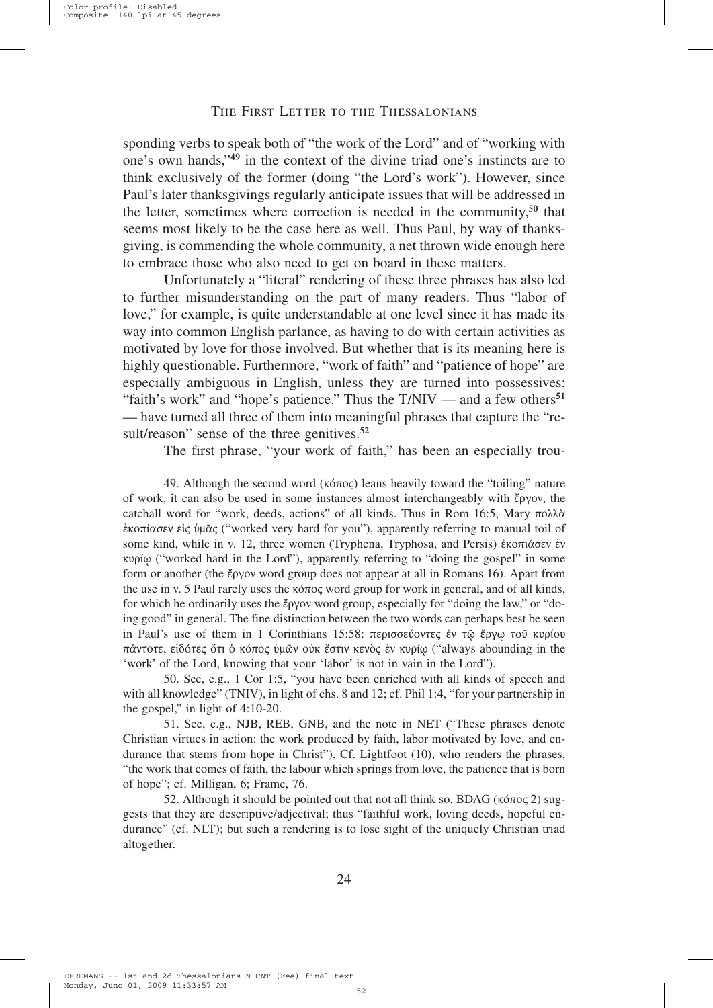sponding verbs to speak both of "the work of the Lord" and of "working with one's own hands,"49 in the context of the divine triad one's instincts are to think exclusively of the former (doing "the Lord's work"). However, since Paul's later thanksgivings regularly anticipate issues that will be addressed in the letter, sometimes where correction is needed in the community,<sup>50</sup> that seems most likely to be the case here as well. Thus Paul, by way of thanksgiving, is commending the whole community, a net thrown wide enough here to embrace those who also need to get on board in these matters.

Unfortunately a "literal" rendering of these three phrases has also led to further misunderstanding on the part of many readers. Thus "labor of love," for example, is quite understandable at one level since it has made its way into common English parlance, as having to do with certain activities as motivated by love for those involved. But whether that is its meaning here is highly questionable. Furthermore, "work of faith" and "patience of hope" are especially ambiguous in English, unless they are turned into possessives: "faith's work" and "hope's patience." Thus the  $T/NIV$  — and a few others<sup>51</sup> — have turned all three of them into meaningful phrases that capture the "result/reason" sense of the three genitives.<sup>52</sup>

The first phrase, "your work of faith," has been an especially trou-

49. Although the second word ( $\kappa$ όπος) leans heavily toward the "toiling" nature of work, it can also be used in some instances almost interchangeably with  $\epsilon_{\rm PV}$ , the catchall word for "work, deeds, actions" of all kinds. Thus in Rom 16:5, Mary  $\pi$ o $\lambda \lambda \dot{\alpha}$ έκοπίασεν είς ύμᾶς ("worked very hard for you"), apparently referring to manual toil of some kind, while in v. 12, three women (Tryphena, Tryphosa, and Persis)  $\dot{\epsilon}$ κοπιάσεν  $\dot{\epsilon}$ ν kur¾æ ("worked hard in the Lord"), apparently referring to "doing the gospel" in some form or another (the  $\zeta$  pyov word group does not appear at all in Romans 16). Apart from the use in v. 5 Paul rarely uses the  $\kappa \phi \pi$  word group for work in general, and of all kinds, for which he ordinarily uses the  $\epsilon$  pyov word group, especially for "doing the law," or "doing good" in general. The fine distinction between the two words can perhaps best be seen in Paul's use of them in 1 Corinthians 15:58: perisseÖontev ›n tê £rgæ toØ kur¾ou  $\pi\alpha$ ντοτε, είδότες ὅτι ὁ κόπος ὑμῶν οὐκ ἔστιν κενὸς ἐν κυρίω ("always abounding in the 'work' of the Lord, knowing that your 'labor' is not in vain in the Lord").

50. See, e.g., 1 Cor 1:5, "you have been enriched with all kinds of speech and with all knowledge" (TNIV), in light of chs. 8 and 12; cf. Phil 1:4, "for your partnership in the gospel," in light of 4:10-20.

51. See, e.g., NJB, REB, GNB, and the note in NET ("These phrases denote Christian virtues in action: the work produced by faith, labor motivated by love, and endurance that stems from hope in Christ"). Cf. Lightfoot (10), who renders the phrases, "the work that comes of faith, the labour which springs from love, the patience that is born of hope"; cf. Milligan, 6; Frame, 76.

52. Although it should be pointed out that not all think so. BDAG ( $\kappa$ όπος 2) suggests that they are descriptive/adjectival; thus "faithful work, loving deeds, hopeful endurance" (cf. NLT); but such a rendering is to lose sight of the uniquely Christian triad altogether.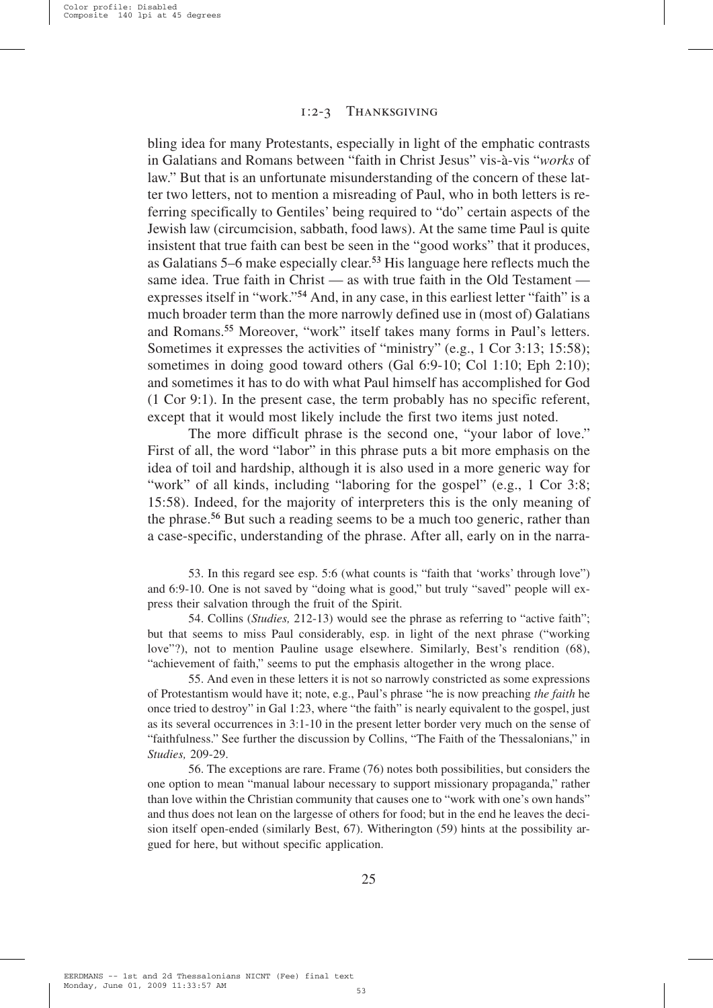#### 1:2-3 Thanksgiving

bling idea for many Protestants, especially in light of the emphatic contrasts in Galatians and Romans between "faith in Christ Jesus" vis-à-vis "*works* of law." But that is an unfortunate misunderstanding of the concern of these latter two letters, not to mention a misreading of Paul, who in both letters is referring specifically to Gentiles' being required to "do" certain aspects of the Jewish law (circumcision, sabbath, food laws). At the same time Paul is quite insistent that true faith can best be seen in the "good works" that it produces, as Galatians 5–6 make especially clear.53 His language here reflects much the same idea. True faith in Christ — as with true faith in the Old Testament expresses itself in "work."54 And, in any case, in this earliest letter "faith" is a much broader term than the more narrowly defined use in (most of) Galatians and Romans.55 Moreover, "work" itself takes many forms in Paul's letters. Sometimes it expresses the activities of "ministry" (e.g., 1 Cor 3:13; 15:58); sometimes in doing good toward others (Gal 6:9-10; Col 1:10; Eph 2:10); and sometimes it has to do with what Paul himself has accomplished for God (1 Cor 9:1). In the present case, the term probably has no specific referent, except that it would most likely include the first two items just noted.

The more difficult phrase is the second one, "your labor of love." First of all, the word "labor" in this phrase puts a bit more emphasis on the idea of toil and hardship, although it is also used in a more generic way for "work" of all kinds, including "laboring for the gospel" (e.g., 1 Cor 3:8; 15:58). Indeed, for the majority of interpreters this is the only meaning of the phrase.<sup>56</sup> But such a reading seems to be a much too generic, rather than a case-specific, understanding of the phrase. After all, early on in the narra-

53. In this regard see esp. 5:6 (what counts is "faith that 'works' through love") and 6:9-10. One is not saved by "doing what is good," but truly "saved" people will express their salvation through the fruit of the Spirit.

54. Collins (*Studies,* 212-13) would see the phrase as referring to "active faith"; but that seems to miss Paul considerably, esp. in light of the next phrase ("working love"?), not to mention Pauline usage elsewhere. Similarly, Best's rendition (68), "achievement of faith," seems to put the emphasis altogether in the wrong place.

55. And even in these letters it is not so narrowly constricted as some expressions of Protestantism would have it; note, e.g., Paul's phrase "he is now preaching *the faith* he once tried to destroy" in Gal 1:23, where "the faith" is nearly equivalent to the gospel, just as its several occurrences in 3:1-10 in the present letter border very much on the sense of "faithfulness." See further the discussion by Collins, "The Faith of the Thessalonians," in *Studies,* 209-29.

56. The exceptions are rare. Frame (76) notes both possibilities, but considers the one option to mean "manual labour necessary to support missionary propaganda," rather than love within the Christian community that causes one to "work with one's own hands" and thus does not lean on the largesse of others for food; but in the end he leaves the decision itself open-ended (similarly Best, 67). Witherington (59) hints at the possibility argued for here, but without specific application.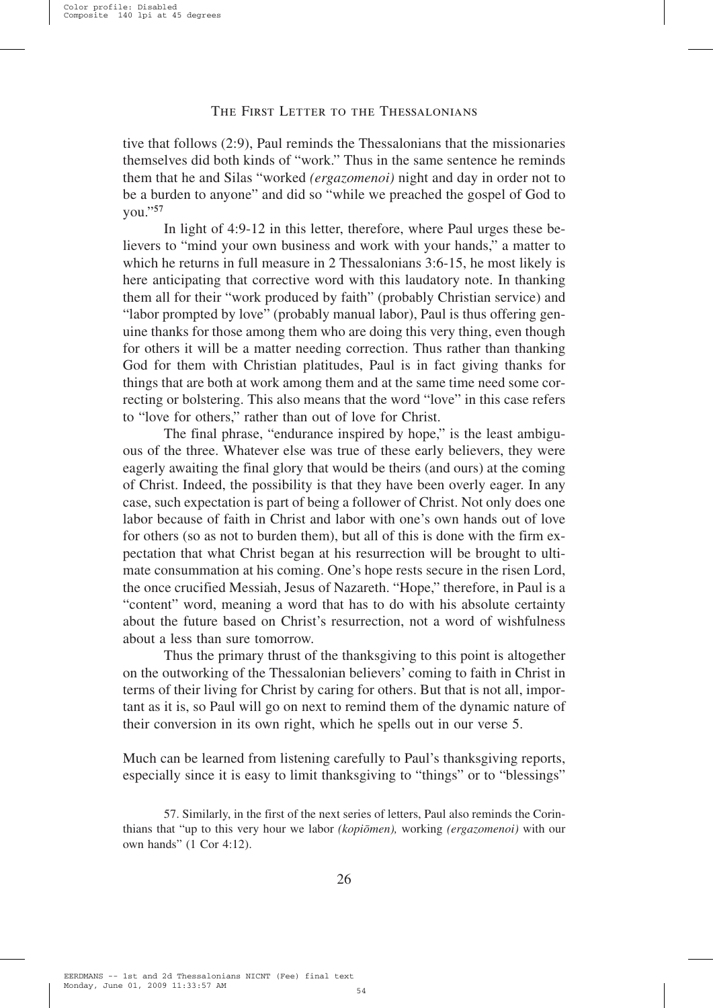tive that follows (2:9), Paul reminds the Thessalonians that the missionaries themselves did both kinds of "work." Thus in the same sentence he reminds them that he and Silas "worked *(ergazomenoi)* night and day in order not to be a burden to anyone" and did so "while we preached the gospel of God to you."57

In light of 4:9-12 in this letter, therefore, where Paul urges these believers to "mind your own business and work with your hands," a matter to which he returns in full measure in 2 Thessalonians 3:6-15, he most likely is here anticipating that corrective word with this laudatory note. In thanking them all for their "work produced by faith" (probably Christian service) and "labor prompted by love" (probably manual labor), Paul is thus offering genuine thanks for those among them who are doing this very thing, even though for others it will be a matter needing correction. Thus rather than thanking God for them with Christian platitudes, Paul is in fact giving thanks for things that are both at work among them and at the same time need some correcting or bolstering. This also means that the word "love" in this case refers to "love for others," rather than out of love for Christ.

The final phrase, "endurance inspired by hope," is the least ambiguous of the three. Whatever else was true of these early believers, they were eagerly awaiting the final glory that would be theirs (and ours) at the coming of Christ. Indeed, the possibility is that they have been overly eager. In any case, such expectation is part of being a follower of Christ. Not only does one labor because of faith in Christ and labor with one's own hands out of love for others (so as not to burden them), but all of this is done with the firm expectation that what Christ began at his resurrection will be brought to ultimate consummation at his coming. One's hope rests secure in the risen Lord, the once crucified Messiah, Jesus of Nazareth. "Hope," therefore, in Paul is a "content" word, meaning a word that has to do with his absolute certainty about the future based on Christ's resurrection, not a word of wishfulness about a less than sure tomorrow.

Thus the primary thrust of the thanksgiving to this point is altogether on the outworking of the Thessalonian believers' coming to faith in Christ in terms of their living for Christ by caring for others. But that is not all, important as it is, so Paul will go on next to remind them of the dynamic nature of their conversion in its own right, which he spells out in our verse 5.

Much can be learned from listening carefully to Paul's thanksgiving reports, especially since it is easy to limit thanksgiving to "things" or to "blessings"

<sup>57.</sup> Similarly, in the first of the next series of letters, Paul also reminds the Corinthians that "up to this very hour we labor *(kopiZmen),* working *(ergazomenoi)* with our own hands" (1 Cor 4:12).